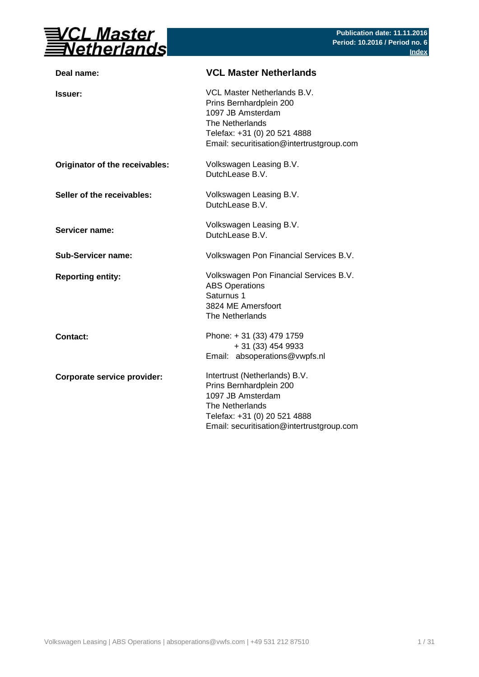

| Deal name:                     | <b>VCL Master Netherlands</b>                                                                                                                                                 |
|--------------------------------|-------------------------------------------------------------------------------------------------------------------------------------------------------------------------------|
| <b>Issuer:</b>                 | VCL Master Netherlands B.V.<br>Prins Bernhardplein 200<br>1097 JB Amsterdam<br>The Netherlands<br>Telefax: +31 (0) 20 521 4888<br>Email: securitisation@intertrustgroup.com   |
| Originator of the receivables: | Volkswagen Leasing B.V.<br>DutchLease B.V.                                                                                                                                    |
| Seller of the receivables:     | Volkswagen Leasing B.V.<br>DutchLease B.V.                                                                                                                                    |
| Servicer name:                 | Volkswagen Leasing B.V.<br>DutchLease B.V.                                                                                                                                    |
| Sub-Servicer name:             | Volkswagen Pon Financial Services B.V.                                                                                                                                        |
| <b>Reporting entity:</b>       | Volkswagen Pon Financial Services B.V.<br><b>ABS Operations</b><br>Saturnus 1<br>3824 ME Amersfoort<br>The Netherlands                                                        |
| <b>Contact:</b>                | Phone: +31 (33) 479 1759<br>$+31(33)4549933$<br>Email: absoperations@vwpfs.nl                                                                                                 |
| Corporate service provider:    | Intertrust (Netherlands) B.V.<br>Prins Bernhardplein 200<br>1097 JB Amsterdam<br>The Netherlands<br>Telefax: +31 (0) 20 521 4888<br>Email: securitisation@intertrustgroup.com |
|                                |                                                                                                                                                                               |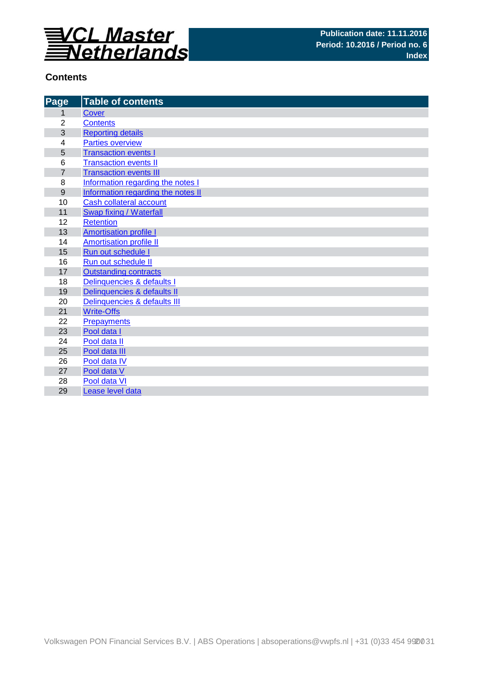

## **Contents**

| Page             | <b>Table of contents</b>           |
|------------------|------------------------------------|
| 1                | <b>Cover</b>                       |
| $\overline{2}$   | <b>Contents</b>                    |
| 3                | <b>Reporting details</b>           |
| 4                | <b>Parties overview</b>            |
| 5                | <b>Transaction events I</b>        |
| 6                | <b>Transaction events II</b>       |
| $\overline{7}$   | <b>Transaction events III</b>      |
| 8                | Information regarding the notes I  |
| $\boldsymbol{9}$ | Information regarding the notes II |
| 10               | Cash collateral account            |
| 11               | Swap fixing / Waterfall            |
| 12               | <b>Retention</b>                   |
| 13               | <b>Amortisation profile I</b>      |
| 14               | <b>Amortisation profile II</b>     |
| 15               | Run out schedule I                 |
| 16               | Run out schedule II                |
| 17               | <b>Outstanding contracts</b>       |
| 18               | Delinquencies & defaults I         |
| 19               | Delinquencies & defaults II        |
| 20               | Delinquencies & defaults III       |
| 21               | <b>Write-Offs</b>                  |
| 22               | <b>Prepayments</b>                 |
| 23               | Pool data I                        |
| 24               | Pool data II                       |
| 25               | Pool data III                      |
| 26               | Pool data IV                       |
| 27               | Pool data V                        |
| 28               | Pool data VI                       |
| 29               | Lease level data                   |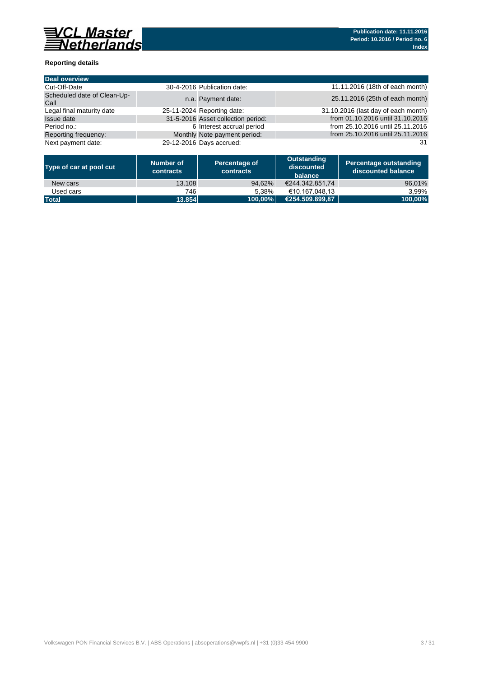

### **Reporting details**

| Deal overview                       |                            |                                    |                                     |
|-------------------------------------|----------------------------|------------------------------------|-------------------------------------|
| Cut-Off-Date                        |                            | 30-4-2016 Publication date:        | 11.11.2016 (18th of each month)     |
| Scheduled date of Clean-Up-<br>Call |                            | n.a. Payment date:                 | 25.11.2016 (25th of each month)     |
| Legal final maturity date           | 25-11-2024 Reporting date: |                                    | 31.10.2016 (last day of each month) |
| <b>Issue date</b>                   |                            | 31-5-2016 Asset collection period: | from 01.10.2016 until 31.10.2016    |
| Period no.:                         |                            | 6 Interest accrual period          | from 25.10.2016 until 25.11.2016    |
| Reporting frequency:                |                            | Monthly Note payment period:       | from 25.10.2016 until 25.11.2016    |
| Next payment date:                  | 29-12-2016 Days accrued:   |                                    | 31                                  |

| Type of car at pool cut | Number of<br>contracts | Percentage of<br>contracts | Outstanding<br>discounted<br>balance | <b>Percentage outstanding</b><br>l discounted balance \ |
|-------------------------|------------------------|----------------------------|--------------------------------------|---------------------------------------------------------|
| New cars                | 13.108                 | 94.62%                     | €244.342.851.74                      | 96,01%                                                  |
| Used cars               | 746                    | 5.38%                      | €10.167.048.13                       | 3.99%                                                   |
| <b>Total</b>            | 13.854                 | 100.00%                    | €254.509.899.87                      | 100,00%                                                 |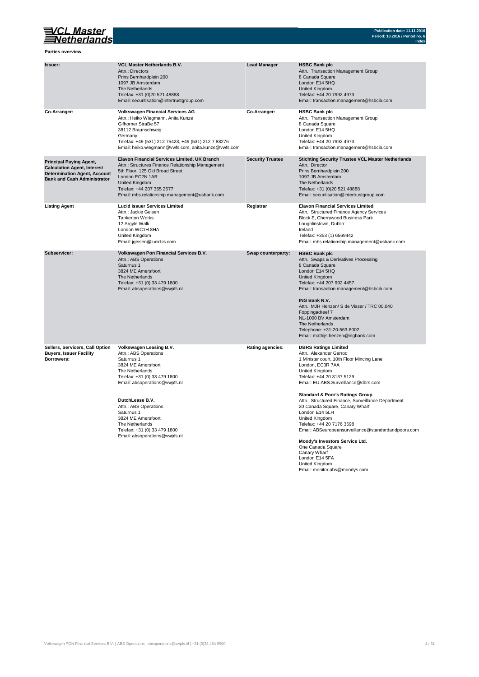

**Parties overview**

| Issuer:                                                                                                                                           | VCL Master Netherlands B.V.<br>Attn.: Directors<br>Prins Bernhardplein 200<br>1097 JB Amsterdam<br>The Netherlands<br>Telefax: +31 (0)20 521 48888<br>Email: securitisation@intertrustgroup.com                                                                                                                                              | <b>Lead Manager</b>     | <b>HSBC Bank plc</b><br>Attn.: Transaction Management Group<br>8 Canada Square<br>London E14 5HQ<br><b>United Kingdom</b><br>Telefax: +44 20 7992 4973<br>Email: transaction.management@hsbcib.com                                                                                                                                                                                                                                                                                                                                                                                                                      |
|---------------------------------------------------------------------------------------------------------------------------------------------------|----------------------------------------------------------------------------------------------------------------------------------------------------------------------------------------------------------------------------------------------------------------------------------------------------------------------------------------------|-------------------------|-------------------------------------------------------------------------------------------------------------------------------------------------------------------------------------------------------------------------------------------------------------------------------------------------------------------------------------------------------------------------------------------------------------------------------------------------------------------------------------------------------------------------------------------------------------------------------------------------------------------------|
| Co-Arranger:                                                                                                                                      | <b>Volkswagen Financial Services AG</b><br>Attn.: Heiko Wiegmann, Anita Kunze<br>Gifhorner StraBe 57<br>38112 Braunschweig<br>Germany<br>Telefax: +49 (531) 212 75423, +49 (531) 212 7 88276<br>Email: heiko.wiegmann@vwfs.com, anita.kunze@vwfs.com                                                                                         | Co-Arranger:            | <b>HSBC Bank plc</b><br>Attn.: Transaction Management Group<br>8 Canada Square<br>London E14 5HQ<br>United Kingdom<br>Telefax: +44 20 7992 4973<br>Email: transaction.management@hsbcib.com                                                                                                                                                                                                                                                                                                                                                                                                                             |
| <b>Principal Paying Agent,</b><br><b>Calculation Agent, Interest</b><br><b>Determination Agent, Account</b><br><b>Bank and Cash Administrator</b> | Elavon Financial Services Limited, UK Branch<br>Attn.: Structures Finance Relationship Management<br>5th Floor, 125 Old Broad Street<br>London EC2N 1AR<br><b>United Kingdom</b><br>Telefax: +44 207 365 2577<br>Email: mbs.relationship.management@usbank.com                                                                               | <b>Security Trustee</b> | <b>Stichting Security Trustee VCL Master Netherlands</b><br>Attn.: Director<br>Prins Bernhardplein 200<br>1097 JB Amsterdam<br>The Netherlands<br>Telefax: +31 (0)20 521 48888<br>Email: securitisation@intertrustgroup.com                                                                                                                                                                                                                                                                                                                                                                                             |
| <b>Listing Agent</b>                                                                                                                              | <b>Lucid Issuer Services Limited</b><br>Attn.: Jackie Geisen<br><b>Tankerton Works</b><br>12 Argyle Walk<br>London WC1H 8HA<br>United Kingdom<br>Email: jgeisen@lucid-is.com                                                                                                                                                                 | Registrar               | <b>Elavon Financial Services Limited</b><br>Attn.: Structured Finance Agency Services<br>Block E, Cherrywood Business Park<br>Loughlinstown, Dublin<br>Ireland<br>Telefax: +353 (1) 6569442<br>Email: mbs.relationship.management@usbank.com                                                                                                                                                                                                                                                                                                                                                                            |
| Subservicer:                                                                                                                                      | Volkswagen Pon Financial Services B.V.<br>Attn.: ABS Operations<br>Saturnus 1<br>3824 ME Amersfoort<br>The Netherlands<br>Telefax: +31 (0) 33 479 1800<br>Email: absoperations@vwpfs.nl                                                                                                                                                      | Swap counterparty:      | <b>HSBC Bank plc</b><br>Attn.: Swaps & Derivatives Processing<br>8 Canada Square<br>London E14 5HQ<br>United Kingdom<br>Telefax: +44 207 992 4457<br>Email: transaction.management@hsbcib.com<br><b>ING Bank N.V.</b><br>Attn.: MJH Henzen/ S de Visser / TRC 00.040<br>Foppingadreef 7<br>NL-1000 BV Amsterdam<br>The Netherlands<br>Telephone: +31-20-563-8002<br>Email: mathijs.henzen@ingbank.com                                                                                                                                                                                                                   |
| Sellers, Servicers, Call Option<br><b>Buyers, Issuer Facility</b><br>Borrowers:                                                                   | Volkswagen Leasing B.V.<br>Attn.: ABS Operations<br>Saturnus 1<br>3824 ME Amersfoort<br>The Netherlands<br>Telefax: +31 (0) 33 479 1800<br>Email: absoperations@vwpfs.nl<br>DutchLease B.V.<br>Attn.: ABS Operations<br>Saturnus 1<br>3824 ME Amersfoort<br>The Netherlands<br>Telefax: +31 (0) 33 479 1800<br>Email: absoperations@vwpfs.nl | Rating agencies:        | <b>DBRS Ratings Limited</b><br>Attn.: Alexander Garrod<br>1 Minister court, 10th Floor Mincing Lane<br>London, EC3R 7AA<br>United Kingdom<br>Telefax: +44 20 3137 5129<br>Email: EU.ABS.Surveillance@dbrs.com<br><b>Standard &amp; Poor's Ratings Group</b><br>Attn.: Structured Finance, Surveillance Department<br>20 Canada Square, Canary Wharf<br>London E14 5LH<br>United Kingdom<br>Telefax: +44 20 7176 3598<br>Email: ABSeuropeansurveillance@standardandpoors.com<br>Moody's Investors Service Ltd.<br>One Canada Square<br>Canary Wharf<br>London E14 5FA<br>United Kingdom<br>Email: monitor.abs@moodys.com |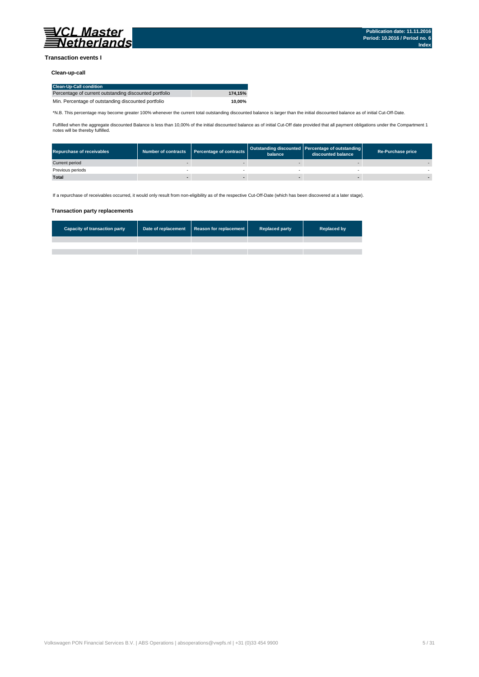

#### **Transaction events I**

#### **Clean-up-call**

| <b>Clean-Up-Call condition</b>                         |         |
|--------------------------------------------------------|---------|
| Percentage of current outstanding discounted portfolio | 174.15% |
| Min. Percentage of outstanding discounted portfolio    | 10.00%  |

\*N.B. This percentage may become greater 100% whenever the current total outstanding discounted balance is larger than the initial discounted balance as of initial Cut-Off-Date.

Fulfilled when the aggregate discounted Balance is less than 10,00% of the initial discounted balance as of initial Cut-Off date provided that all payment obligations under the Compartment 1 notes will be thereby fulfilled.

| <b>Repurchase of receivables</b> | Number of contracts   Percentage of contracts | balance | Outstanding discounted Percentage of outstanding<br>discounted balance | <b>Re-Purchase price</b> |
|----------------------------------|-----------------------------------------------|---------|------------------------------------------------------------------------|--------------------------|
| Current period                   |                                               |         |                                                                        |                          |
| Previous periods                 |                                               |         |                                                                        |                          |
| <b>Total</b>                     |                                               |         |                                                                        |                          |

If a repurchase of receivables occurred, it would only result from non-eligibility as of the respective Cut-Off-Date (which has been discovered at a later stage).

#### **Transaction party replacements**

| <b>Capacity of transaction party</b> | Date of replacement   Reason for replacement | <b>Replaced party</b> | <b>Replaced by</b> |
|--------------------------------------|----------------------------------------------|-----------------------|--------------------|
|                                      |                                              |                       |                    |
|                                      |                                              |                       |                    |
|                                      |                                              |                       |                    |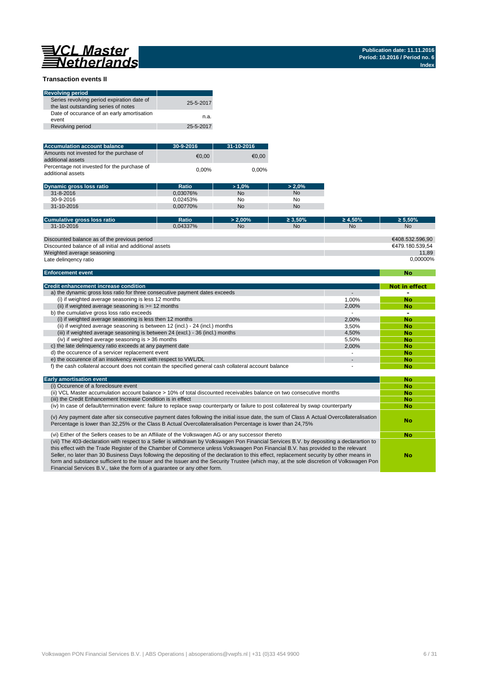# 

**No** 

#### **Transaction events II**

| <b>Revolving period</b>                                                            |           |
|------------------------------------------------------------------------------------|-----------|
| Series revolving period expiration date of<br>the last outstanding series of notes | 25-5-2017 |
| Date of occurance of an early amortisation<br>event                                | n.a.      |
| Revolving period                                                                   | 25-5-2017 |

| <b>Accumulation account balance</b>                              | 30-9-2016 | 31-10-2016 |
|------------------------------------------------------------------|-----------|------------|
| Amounts not invested for the purchase of<br>additional assets    | €0.00     | €0.00      |
| Percentage not invested for the purchase of<br>additional assets | 0.00%     | $0.00\%$   |

| <b>Dynamic gross loss ratio</b> | Ratio    | $>1.0\%$  | $> 2.0\%$ |
|---------------------------------|----------|-----------|-----------|
| $31 - 8 - 2016$                 | 0.03076% | <b>No</b> | <b>No</b> |
| 30-9-2016                       | 0.02453% | No        | No        |
| 31-10-2016                      | 0.00770% | <b>No</b> | No        |

| Cumulative gross loss ratio                             | Ratio    | $> 2.00\%$ | $\geq 3.50\%$ | $\geq 4.50\%$ | $\geq 5.50\%$   |
|---------------------------------------------------------|----------|------------|---------------|---------------|-----------------|
| 31-10-2016                                              | 0.04337% | <b>No</b>  | <b>No</b>     | <b>No</b>     | <b>No</b>       |
|                                                         |          |            |               |               |                 |
| Discounted balance as of the previous period            |          |            |               |               | €408.532.596.90 |
| Discounted balance of all initial and additional assets |          |            |               |               | €479.180.539.54 |
| Weighted average seasoning                              |          |            |               |               | 11.89           |
| Late delingency ratio                                   |          |            |               |               | 0.00000%        |

#### **Enforcement event**

| <b>Credit enhancement increase condition</b>                                                          |       | <b>Not in effect</b> |
|-------------------------------------------------------------------------------------------------------|-------|----------------------|
| a) the dynamic gross loss ratio for three consecutive payment dates exceeds                           |       |                      |
| (i) if weighted average seasoning is less 12 months                                                   | 1.00% | No                   |
| (ii) if weighted average seasoning is $\geq$ 12 months                                                | 2.00% | No                   |
| b) the cumulative gross loss ratio exceeds                                                            |       |                      |
| (i) if weighted average seasoning is less then 12 months                                              | 2.00% | No                   |
| (ii) if weighted average seasoning is between 12 (incl.) - 24 (incl.) months                          | 3.50% | No                   |
| (iii) if weighted average seasoning is between 24 (excl.) - 36 (incl.) months                         | 4.50% | <b>No</b>            |
| (iv) if weighted average seasoning is $>$ 36 months                                                   | 5.50% | <b>No</b>            |
| c) the late delinguency ratio exceeds at any payment date                                             | 2.00% | No                   |
| d) the occurence of a servicer replacement event                                                      |       | No                   |
| e) the occurence of an insolvency event with respect to VWL/DL                                        |       | No                   |
| f) the cash collateral account does not contain the specified general cash collateral account balance |       | <b>No</b>            |

| <b>Early amortisation event</b>                                                                                                                                                                                                                                                                                                                                                                                                                                                                                                                                                                                                                    | No |
|----------------------------------------------------------------------------------------------------------------------------------------------------------------------------------------------------------------------------------------------------------------------------------------------------------------------------------------------------------------------------------------------------------------------------------------------------------------------------------------------------------------------------------------------------------------------------------------------------------------------------------------------------|----|
| (i) Occurence of a foreclosure event                                                                                                                                                                                                                                                                                                                                                                                                                                                                                                                                                                                                               | No |
| (ii) VCL Master accumulation account balance > 10% of total discounted receivables balance on two consecutive months                                                                                                                                                                                                                                                                                                                                                                                                                                                                                                                               | No |
| (iii) the Credit Enhancement Increase Condition is in effect                                                                                                                                                                                                                                                                                                                                                                                                                                                                                                                                                                                       | No |
| (iv) In case of default/termination event: failure to replace swap counterparty or failure to post collatereal by swap counterparty                                                                                                                                                                                                                                                                                                                                                                                                                                                                                                                | No |
| (v) Any payment date after six consecutive payment dates following the initial issue date, the sum of Class A Actual Overcollateralisation<br>Percentage is lower than 32,25% or the Class B Actual Overcollateralisation Percentage is lower than 24,75%                                                                                                                                                                                                                                                                                                                                                                                          | No |
| (vi) Either of the Sellers ceases to be an Affiliate of the Volkswagen AG or any successor thereto                                                                                                                                                                                                                                                                                                                                                                                                                                                                                                                                                 | No |
| (vii) The 403-declaration with respect to a Seller is withdrawn by Volkswagen Pon Financial Services B.V. by depositing a declarartion to<br>this effect with the Trade Register of the Chamber of Commerce unless Volkswagen Pon Financial B.V. has provided to the relevant<br>Seller, no later than 30 Business Days following the depositing of the declaration to this effect, replacement security by other means in<br>form and substance sufficient to the Issuer and the Issuer and the Security Trustee (which may, at the sole discretion of Volkswagen Pon<br>Financial Services B.V., take the form of a quarantee or any other form. | No |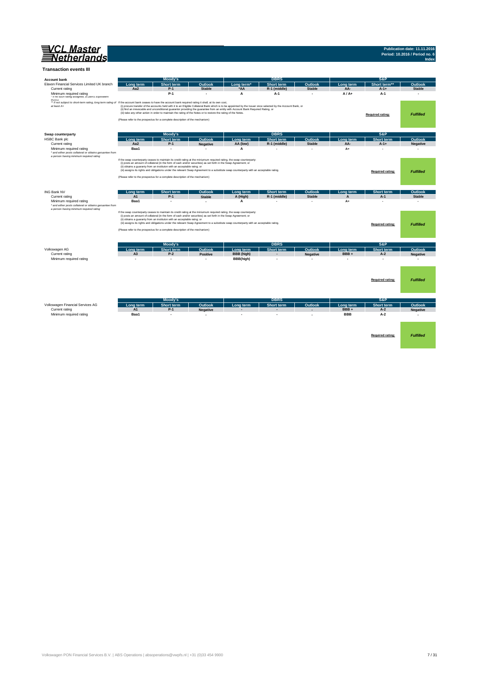| <b>VCL Master</b><br>'etherlands                                                                                                                                                  |                                                                                                                       |                                                                                                                                                         |                                                                                                                                                                                                                                           |                                                                                                                                         |                                                                                                                                                               |                          |                    |                            | Publication date: 11.11.2016<br>Period: 10.2016 / Period no. 6<br>Index |
|-----------------------------------------------------------------------------------------------------------------------------------------------------------------------------------|-----------------------------------------------------------------------------------------------------------------------|---------------------------------------------------------------------------------------------------------------------------------------------------------|-------------------------------------------------------------------------------------------------------------------------------------------------------------------------------------------------------------------------------------------|-----------------------------------------------------------------------------------------------------------------------------------------|---------------------------------------------------------------------------------------------------------------------------------------------------------------|--------------------------|--------------------|----------------------------|-------------------------------------------------------------------------|
| <b>Transaction events III</b>                                                                                                                                                     |                                                                                                                       |                                                                                                                                                         |                                                                                                                                                                                                                                           |                                                                                                                                         |                                                                                                                                                               |                          |                    |                            |                                                                         |
| <b>Account bank</b>                                                                                                                                                               |                                                                                                                       | <b>Moody's</b>                                                                                                                                          |                                                                                                                                                                                                                                           |                                                                                                                                         | <b>DBRS</b>                                                                                                                                                   |                          |                    | S&P                        |                                                                         |
| Elavon Financial Services Limited UK branch<br>Current rating                                                                                                                     | Long term<br>Aa2                                                                                                      | Short term<br>$P-1$                                                                                                                                     | Outlook<br><b>Stable</b>                                                                                                                                                                                                                  | Long term*<br>*AA                                                                                                                       | Short term<br>R-1 (middle)                                                                                                                                    | Outlook<br><b>Stable</b> | Long term<br>AA-   | Short term**<br>$A-1+$     | Outlook<br><b>Stable</b>                                                |
| Minimum required rating<br>· it no such rating assigned, a DBRS Equivalent                                                                                                        |                                                                                                                       | $P-1$                                                                                                                                                   | $\blacksquare$                                                                                                                                                                                                                            | A                                                                                                                                       | $A-1$                                                                                                                                                         | ٠                        | $A/A+$             | $A-1$                      | $\tilde{\phantom{a}}$                                                   |
| Doting<br>"If not subject to short-term rating, long term rating of If the account bank ceases to have the account bank required rating it shall, at its own cost,<br>at least A+ |                                                                                                                       | (Please refer to the prospectus for a complete description of the mechanism)                                                                            | (iii) take any other action in order to maintain the rating of the Notes or to restore the rating of the Notes.                                                                                                                           | (ii) find an irrevocable and unconditional guarantor providing the guarantee from an entity with Account Bank Required Rating, or       | (i) procure transfer of the accounts held with it to an Eligible Collateral Bank which is to be appointed by the Issuer once selected by the Account Bank, or |                          |                    | Required rating:           | <b>Fulfilled</b>                                                        |
| Swap counterparty                                                                                                                                                                 |                                                                                                                       | Moody's                                                                                                                                                 |                                                                                                                                                                                                                                           |                                                                                                                                         | <b>DBRS</b>                                                                                                                                                   |                          |                    | S&P                        |                                                                         |
| <b>HSBC Bank plc</b>                                                                                                                                                              | Long term                                                                                                             | Short term                                                                                                                                              | Outlook                                                                                                                                                                                                                                   | Long term                                                                                                                               | Short term                                                                                                                                                    | Outlook                  | Long term          | Short term                 | Outlook                                                                 |
| Current rating                                                                                                                                                                    | Aa2                                                                                                                   | $P-1$                                                                                                                                                   | <b>Negative</b>                                                                                                                                                                                                                           | AA (low)                                                                                                                                | R-1 (middle)                                                                                                                                                  | <b>Stable</b>            | AA-                | $A-1+$                     | <b>Negative</b>                                                         |
| Minimum required rating<br>* and either posts collateral or obtains garuantee from<br>a person having minimum required rating                                                     | Baa1                                                                                                                  | ÷,                                                                                                                                                      | $\overline{\phantom{a}}$                                                                                                                                                                                                                  | A                                                                                                                                       | ٠                                                                                                                                                             | ÷,                       | $A+$               | ٠                          | ٠                                                                       |
|                                                                                                                                                                                   | If the swap counterparty ceases to maintain its credit rating at the miniumum required rating, the swap counterparty: | (ii) obtains a guaranty from an instituton with an acceptable ratng; or<br>(Please refer to the prospectus for a complete description of the mechanism) | (i) posts an amount of collateral (in the form of cash and/or securities) as set forth in the Swap Agreement; or                                                                                                                          | (iii) assigns its rights and obligations under the relevant Swap Agreement to a substitute swap counterparty with an acceptable rating. |                                                                                                                                                               |                          |                    | Required rating:           | <b>Fulfilled</b>                                                        |
| <b>ING Bank NV</b>                                                                                                                                                                | Long term                                                                                                             | Short term                                                                                                                                              | Outlook                                                                                                                                                                                                                                   | ona term.                                                                                                                               | Short term                                                                                                                                                    | Outlook                  | Long term          | Short term                 | Outlook                                                                 |
| Current rating                                                                                                                                                                    | A1                                                                                                                    | $P-1$                                                                                                                                                   | <b>Stable</b>                                                                                                                                                                                                                             | A (High)                                                                                                                                | R-1 (middle)                                                                                                                                                  | <b>Stable</b>            |                    | $A-1$                      | <b>Stable</b>                                                           |
| Minimum required rating<br>* and either posts collateral or obtains garuantee from<br>a person having minimum required rating                                                     | Baa1                                                                                                                  | $\sim$                                                                                                                                                  |                                                                                                                                                                                                                                           | Α                                                                                                                                       |                                                                                                                                                               | - 1                      | $A+$               | J.                         | ÷.                                                                      |
|                                                                                                                                                                                   |                                                                                                                       | (ii) obtains a guaranty from an instituton with an acceptable ratng; or<br>(Please refer to the prospectus for a complete description of the mechanism) | If the swap counterparty ceases to maintain its credit rating at the miniumum required rating, the swap counterparty:<br>(i) posts an amount of collateral (in the form of cash and/or securities) as set forth in the Swap Agreement; or | (iii) assigns its rights and obligations under the relevant Swap Agreement to a substitute swap counterparty with an acceptable rating. |                                                                                                                                                               |                          |                    | <b>Required rating:</b>    | <b>Fulfilled</b>                                                        |
|                                                                                                                                                                                   |                                                                                                                       |                                                                                                                                                         |                                                                                                                                                                                                                                           |                                                                                                                                         |                                                                                                                                                               |                          |                    |                            |                                                                         |
|                                                                                                                                                                                   |                                                                                                                       | Moody's                                                                                                                                                 |                                                                                                                                                                                                                                           |                                                                                                                                         | <b>DBRS</b>                                                                                                                                                   |                          |                    | S&P                        |                                                                         |
| Volkswagen AG                                                                                                                                                                     | Long term<br>A <sub>3</sub>                                                                                           | <b>Short term</b><br>$P-2$                                                                                                                              | Outlook                                                                                                                                                                                                                                   | Long term                                                                                                                               | <b>Short term</b>                                                                                                                                             | Outlook                  | Lona term<br>BBB+  | <b>Short term</b><br>$A-2$ | Outlook                                                                 |
| Current rating<br>Minimum required rating                                                                                                                                         |                                                                                                                       | ٠                                                                                                                                                       | <b>Positive</b>                                                                                                                                                                                                                           | BBB (high)<br>BBB(high)                                                                                                                 |                                                                                                                                                               | <b>Negative</b>          |                    | $\sim$                     | <b>Negative</b>                                                         |
|                                                                                                                                                                                   |                                                                                                                       |                                                                                                                                                         |                                                                                                                                                                                                                                           |                                                                                                                                         |                                                                                                                                                               |                          |                    | Required rating:           | <b>Fulfilled</b>                                                        |
|                                                                                                                                                                                   |                                                                                                                       | Moody's                                                                                                                                                 |                                                                                                                                                                                                                                           |                                                                                                                                         | <b>DBRS</b>                                                                                                                                                   |                          |                    | S&P                        |                                                                         |
| Volkswagen Financial Services AG                                                                                                                                                  | Long term                                                                                                             | Short term                                                                                                                                              | Outlook                                                                                                                                                                                                                                   | Long term                                                                                                                               | <b>Short term</b>                                                                                                                                             | Outlook                  | Lona term          | <b>Short term</b>          | Outlook                                                                 |
| Current rating<br>Minimum required rating                                                                                                                                         | A1<br>Baa1                                                                                                            | $P-1$<br>$\sim$                                                                                                                                         | <b>Negative</b><br>$\sim$                                                                                                                                                                                                                 |                                                                                                                                         | ÷                                                                                                                                                             |                          | BBB+<br><b>BBB</b> | $A-2$<br>$A-2$             | <b>Negative</b><br>$\sim$                                               |
|                                                                                                                                                                                   |                                                                                                                       |                                                                                                                                                         |                                                                                                                                                                                                                                           |                                                                                                                                         |                                                                                                                                                               |                          |                    |                            |                                                                         |

**Required rating:** *Fulfilled*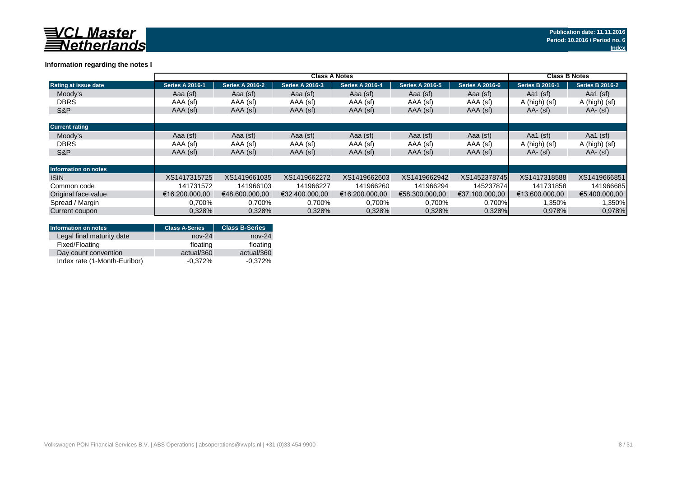

|                       |                        | <b>Class B Notes</b>   |                        |                        |                        |                        |                        |                        |
|-----------------------|------------------------|------------------------|------------------------|------------------------|------------------------|------------------------|------------------------|------------------------|
| Rating at issue date  | <b>Series A 2016-1</b> | <b>Series A 2016-2</b> | <b>Series A 2016-3</b> | <b>Series A 2016-4</b> | <b>Series A 2016-5</b> | <b>Series A 2016-6</b> | <b>Series B 2016-1</b> | <b>Series B 2016-2</b> |
| Moody's               | Aaa (sf)               | Aaa (sf)               | Aaa (sf)               | Aaa (sf)               | Aaa (sf)               | Aaa (sf)               | Aa1 (sf)               | Aa1 $(sf)$             |
| <b>DBRS</b>           | AAA (sf)               | AAA (sf)               | AAA (sf)               | AAA (sf)               | AAA (sf)               | AAA (sf)               | A (high) (sf)          | A (high) (sf)          |
| S&P                   | AAA (sf)               | AAA (sf)               | AAA (sf)               | AAA (sf)               | AAA (sf)               | AAA (sf)               | $AA - (sf)$            | $AA - (sf)$            |
|                       |                        |                        |                        |                        |                        |                        |                        |                        |
| <b>Current rating</b> |                        |                        |                        |                        |                        |                        |                        |                        |
| Moody's               | Aaa (sf)               | Aaa (sf)               | Aaa (sf)               | Aaa (sf)               | Aaa (sf)               | Aaa (sf)               | Aa1 $(sf)$             | Aa1 $(sf)$             |
| <b>DBRS</b>           | AAA (sf)               | AAA (sf)               | AAA (sf)               | AAA (sf)               | AAA (sf)               | AAA (sf)               | A (high) (sf)          | A (high) (sf)          |
| S&P                   | AAA (sf)               | AAA (sf)               | AAA (sf)               | AAA (sf)               | AAA (sf)               | AAA (sf)               | $AA - (sf)$            | $AA - (sf)$            |
|                       |                        |                        |                        |                        |                        |                        |                        |                        |
| Information on notes  |                        |                        |                        |                        |                        |                        |                        |                        |
| <b>ISIN</b>           | XS1417315725           | XS1419661035           | XS1419662272           | XS1419662603           | XS1419662942           | XS1452378745           | XS1417318588           | XS1419666851           |
| Common code           | 141731572              | 141966103              | 141966227              | 141966260              | 141966294              | 145237874              | 141731858              | 141966685              |
| Original face value   | €16.200.000.00         | €48.600.000.00         | €32.400.000.00         | €16.200.000.00         | €58.300.000.00         | €37.100.000.00         | €13.600.000.00         | €5.400.000.00          |
| Spread / Margin       | 0.700%                 | 0,700%                 | 0,700%                 | 0,700%                 | 0,700%                 | $0,700\%$              | 1,350%                 | 1,350%                 |
| Current coupon        | 0,328%                 | 0,328%                 | 0,328%                 | 0,328%                 | 0,328%                 | 0.328%                 | 0,978%                 | 0.978%                 |

### **Information regarding the notes I**

| <b>Information on notes</b>  | <b>Class A-Series</b> | <b>Class B-Series</b> |
|------------------------------|-----------------------|-----------------------|
| Legal final maturity date    | $nov-24$              | $nov-24$              |
| Fixed/Floating               | floating              | floating              |
| Day count convention         | actual/360            | actual/360            |
| Index rate (1-Month-Euribor) | $-0.372%$             | $-0.372%$             |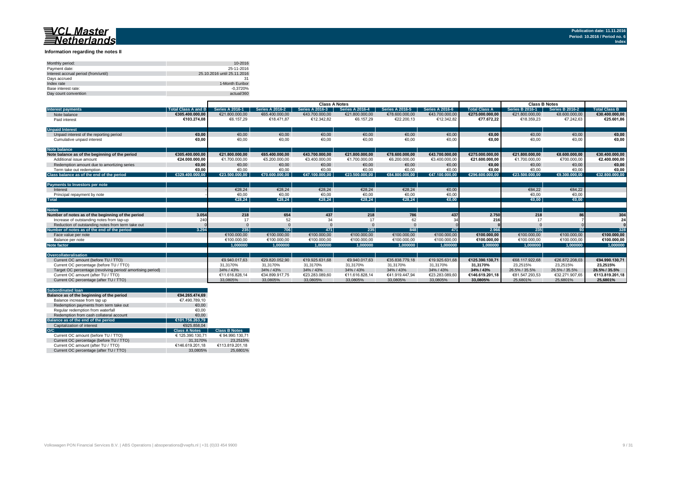#### **Information regarding the notes II**

| Monthly period:                      | 10-2016                     |
|--------------------------------------|-----------------------------|
| Payment date:                        | 25-11-2016                  |
| Interest accrual period (from/until) | 25.10.2016 until 25.11.2016 |
| Davs accrued                         |                             |
| Index rate                           | 1-Month Euribor             |
| Base interest rate:                  | $-0.3720%$                  |
| Day count convention                 | actual/360                  |

|                                                           |                            | <b>Class A Notes</b>   |                        |                        |                        |                        |                        | <b>Class B Notes</b> |                        |                        |                      |
|-----------------------------------------------------------|----------------------------|------------------------|------------------------|------------------------|------------------------|------------------------|------------------------|----------------------|------------------------|------------------------|----------------------|
| <b>Interest payments</b>                                  | <b>Total Class A and B</b> | <b>Series A 2016-1</b> | <b>Series A 2016-2</b> | <b>Series A 2016-3</b> | <b>Series A 2016-4</b> | <b>Series A 2016-5</b> | <b>Series A 2016-6</b> | <b>Total Class A</b> | <b>Series B 2016-1</b> | <b>Series B 2016-2</b> | <b>Total Class B</b> |
| Note balance                                              | €305.400.000.00            | €21.800.000.00         | €65.400.000.00         | €43.700.000.00         | €21.800.000.00         | €78,600,000,00         | €43.700.000,00         | €275.000.000.00      | €21.800.000.00         | €8.600.000,00          | €30.400.000.00       |
| Paid interest                                             | €103.274.08                | €6.157.29              | €18.471.87             | €12.342.82             | €6.157,29              | €22.200,13             | €12.342,82             | €77.672.22           | €18.359.23             | €7.242.63              | €25.601,86           |
| <b>Unpaid Interest</b>                                    |                            |                        |                        |                        |                        |                        |                        |                      |                        |                        |                      |
| Unpaid interest of the reporting period                   | €0.00                      | €0,00                  | €0,00                  | €0,00                  | €0,00                  | €0.00                  | €0,00                  | €0,00                | €0,00                  | €0,00                  | €0,00                |
| Cumulative unpaid interest                                | €0.00                      | €0,00                  | €0,00                  | €0,00                  | €0,00                  | €0,00                  | €0,00                  | €0.00                | €0,00                  | €0,00                  | €0,00                |
| <b>Note balance</b>                                       |                            |                        |                        |                        |                        |                        |                        |                      |                        |                        |                      |
| Note balance as of the beginning of the period            | €305.400.000.00            | €21.800.000.00         | €65.400.000.00         | €43.700.000.00         | €21.800.000.00         | €78.600.000.00         | €43.700.000,00         | €275.000.000.00      | €21.800.000.00         | €8.600.000,00          | €30.400.000,00       |
| Additional issue amount                                   | €24.000.000.00             | €1.700.000.00          | €5.200.000.00          | €3.400.000,00          | €1.700.000.00          | €6.200.000.00          | €3.400.000.00          | €21.600.000.00       | €1.700.000.00          | €700.000,00            | €2.400.000,00        |
| Redemption amount due to amortizing series                | €0,00                      | €0,00                  | €0.00                  | €0,00                  | €0,00                  | €0.00                  | €0,00                  | €0,00                | €0,00                  | €0,00                  | €0,00                |
| Term take out redemption                                  | €0.00                      | €0.00                  | €0.00                  | €0.00                  | €0.00                  | €0.00                  | €0.00                  | €0.00                | €0.00                  | €0.00                  | €0,00                |
| Class balance as of the end of the period                 | €329.400.000.00            | €23.500.000.00         | €70.600.000.00         | €47.100.000.00         | €23.500.000.00         | €84.800.000.00         | €47.100.000.00         | €296.600.000.00      | €23.500.000.00         | €9.300.000.00          | €32.800.000.00       |
| Payments to Investors per note                            |                            |                        |                        |                        |                        |                        |                        |                      |                        |                        |                      |
| Interest                                                  |                            | €28.24                 | €28.24                 | €28.24                 | €28.24                 | €28.24                 | €0,00                  |                      | €84.22                 | €84.22                 |                      |
| Principal repayment by note                               |                            | €0,00                  | €0.00                  | €0.00                  | €0,00                  | €0.00                  | €0,00                  |                      | €0.00                  | €0,00                  |                      |
| <b>Total</b>                                              |                            | €28.24                 | €28.24                 | €28.24                 | €28.24                 | €28.24                 | €0.00                  |                      | €0.00                  | €0.00                  |                      |
|                                                           |                            |                        |                        |                        |                        |                        |                        |                      |                        |                        |                      |
| <b>Notes</b>                                              |                            |                        |                        |                        |                        |                        |                        |                      |                        |                        |                      |
| Number of notes as of the beginning of the period         | 3.054                      | 218                    | 654                    | 437                    | 218                    | 786                    | 437                    | 2.750                | 218                    |                        | 304                  |
| Increase of outstanding notes from tap-up                 | 240                        | 17                     | 52                     | 34                     |                        | 62                     | 34                     | 216                  | 17                     |                        | 24                   |
| Reduction of outstanding notes from term take out         |                            |                        |                        |                        |                        |                        |                        |                      |                        |                        |                      |
| Number of notes as of the end of the period               | 3.294                      | 235                    | 706                    | 471                    | 235                    | 848                    | 471                    | 2.966                | 235                    | 93                     | 328                  |
| Face value per note                                       |                            | €100,000,00            | €100.000.00            | €100,000,00            | €100,000,00            | €100,000,00            | €100,000,00            | €100.000.00          | €100,000.00            | €100,000,00            | €100.000,00          |
| Balance per note                                          |                            | €100.000,00            | €100,000.00            | €100.000,00            | €100.000,00            | €100.000,00            | €100.000,00            | €100.000,00          | €100.000,00            | €100.000,00            | €100.000,00          |
| Note factor                                               |                            | 1.000000               | 1.000000               | 1.000000               | 1.000000               | 1.000000               | 1.000000               | 1.000000             | 1.000000               | 1.000000               | 1.000000             |
|                                                           |                            |                        |                        |                        |                        |                        |                        |                      |                        |                        |                      |
| Overcollateralisation                                     |                            |                        |                        |                        |                        |                        |                        |                      |                        |                        |                      |
| Current OC amount (before TU / TTO)                       |                            | €9.940.017.63          | €29.820.052.90         | €19.925.631.68         | €9.940.017.63          | €35.838.779.18         | €19.925.631.68         | €125.390.130.71      | €68.117.922.68         | €26.872.208.03         | €94.990.130.71       |
| Current OC percentage (before TU / TTO)                   |                            | 31,3170%               | 31,3170%               | 31,3170%               | 31,3170%               | 31,3170%               | 31,3170%               | 31.3170%             | 23,2515%               | 23,2515%               | 23,2515%             |
| Target OC percentage (revolving period/amortising period) |                            | 34% / 43%              | 34% / 43%              | 34% / 43%              | 34% / 43%              | 34% / 43%              | 34% / 43%              | 34% / 43%            | 26.5% / 35.5%          | 26.5% / 35.5%          | 26.5% / 35.5%        |
| Current OC amount (after TU / TTO)                        |                            | €11.616.828.14         | €34.899.917,75         | €23.283.089,60         | €11.616.828,14         | €41.919.447.94         | €23.283.089,60         | €146.619.201.18      | €81.547.293.53         | €32.271.907,65         | €113.819.201,18      |
| Current OC percentage (after TU / TTO)                    |                            | 33.0805%               | 33.0805%               | 33.0805%               | 33.0805%               | 33.0805%               | 33,0805%               | 33.0805%             | 25.6801%               | 25.6801%               | 25.6801%             |

| <b>Subordinated loan</b>                  |                      |                      |
|-------------------------------------------|----------------------|----------------------|
| Balance as of the beginning of the period | €94.265.474.69       |                      |
| Balance increase from tap up              | €7.490.789.10        |                      |
| Redemption payments from term take out    | €0.00                |                      |
| Regular redemption from waterfall         | €0.00                |                      |
| Redemption from cash collateral account   | €0.00                |                      |
| Balance as of the end of the period       | €101.756.263.79      |                      |
| Capitalization of interest                | €925.858.04          |                      |
| O/C                                       | <b>Class A Notes</b> | <b>Class B Notes</b> |
| Current OC amount (before TU / TTO)       | € 125.390.130.71     | € 94.990.130.71      |
| Current OC percentage (before TU / TTO)   | 31.3170%             | 23.2515%             |
| Current OC amount (after TU / TTO)        | €146.619.201.18      | €113.819.201.18      |
| Current OC percentage (after TU / TTO)    | 33.0805%             | 25.6801%             |
|                                           |                      |                      |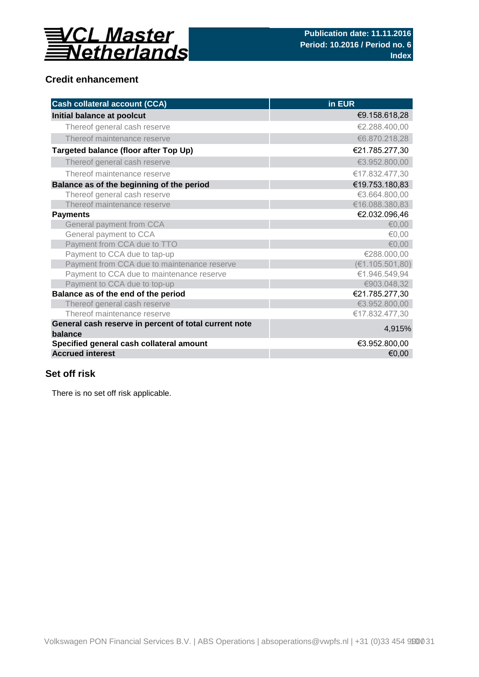

## **Credit enhancement**

| <b>Cash collateral account (CCA)</b>                             | in EUR          |
|------------------------------------------------------------------|-----------------|
| Initial balance at poolcut                                       | €9.158.618,28   |
| Thereof general cash reserve                                     | €2.288.400,00   |
| Thereof maintenance reserve                                      | €6.870.218,28   |
| Targeted balance (floor after Top Up)                            | €21.785.277,30  |
| Thereof general cash reserve                                     | €3.952.800,00   |
| Thereof maintenance reserve                                      | €17.832.477,30  |
| Balance as of the beginning of the period                        | €19.753.180,83  |
| Thereof general cash reserve                                     | €3.664.800,00   |
| Thereof maintenance reserve                                      | €16.088.380,83  |
| <b>Payments</b>                                                  | €2.032.096,46   |
| General payment from CCA                                         | € $0,00$        |
| General payment to CCA                                           | €0,00           |
| Payment from CCA due to TTO                                      | €0,00           |
| Payment to CCA due to tap-up                                     | €288.000,00     |
| Payment from CCA due to maintenance reserve                      | (E1.105.501,80) |
| Payment to CCA due to maintenance reserve                        | €1.946.549,94   |
| Payment to CCA due to top-up                                     | €903.048,32     |
| Balance as of the end of the period                              | €21.785.277,30  |
| Thereof general cash reserve                                     | €3.952.800,00   |
| Thereof maintenance reserve                                      | €17.832.477,30  |
| General cash reserve in percent of total current note<br>balance | 4,915%          |
| Specified general cash collateral amount                         | €3.952.800,00   |
| <b>Accrued interest</b>                                          | €0,00           |

## **Set off risk**

There is no set off risk applicable.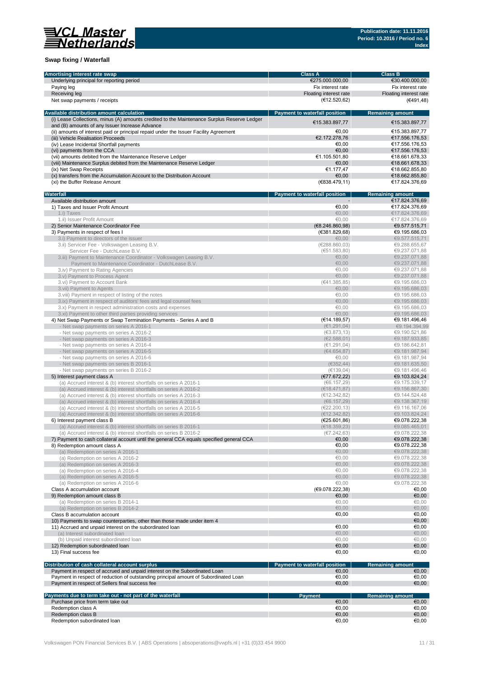

### **Swap fixing / Waterfall**

| Amortising interest rate swap                                                               | <b>Class A</b>                       | <b>Class B</b>                            |
|---------------------------------------------------------------------------------------------|--------------------------------------|-------------------------------------------|
| Underlying principal for reporting period                                                   | €275.000.000,00                      | €30.400.000,00                            |
| Paying leg                                                                                  | Fix interest rate                    | Fix interest rate                         |
| Receiving leg                                                                               | Floating interest rate               | Floating interest rate                    |
| Net swap payments / receipts                                                                | (€12.520,62)                         | (E491, 48)                                |
|                                                                                             |                                      |                                           |
| Available distribution amount calculation                                                   | <b>Payment to waterfall position</b> | <b>Remaining amount</b>                   |
| (i) Lease Collections, minus (A) amounts credited to the Maintenance Surplus Reserve Ledger | €15.383.897,77                       | €15.383.897,77                            |
| and (B) amounts of any Issuer Increase Advance                                              |                                      |                                           |
| (ii) amounts of interest paid or principal repaid under the Issuer Facility Agreement       | €0.00                                | €15.383.897,77                            |
| (iii) Vehicle Realisation Proceeds                                                          | €2.172.278,76                        | €17.556.176,53                            |
| (iv) Lease Incidental Shortfall payments                                                    | €0.00                                | €17.556.176,53                            |
| (vi) payments from the CCA                                                                  | €0,00                                | €17.556.176,53                            |
| (vii) amounts debited from the Maintenance Reserve Ledger                                   | €1.105.501,80                        | €18.661.678,33                            |
| (viii) Maintenance Surplus debited from the Maintenance Reserve Ledger                      | €0,00                                | €18.661.678.33                            |
| (ix) Net Swap Receipts                                                                      | €1.177,47                            | €18.662.855,80                            |
| (x) transfers from the Accumulation Account to the Distribution Account                     | €0,00                                | €18.662.855,80                            |
| (xi) the Buffer Release Amount                                                              | (€838.479,11)                        | €17.824.376,69                            |
| Waterfall                                                                                   |                                      |                                           |
| Available distribution amount                                                               | <b>Payment to waterfall position</b> | <b>Remaining amount</b><br>€17.824.376,69 |
| 1) Taxes and Issuer Profit Amount                                                           | €0,00                                | €17.824.376,69                            |
|                                                                                             | €0,00                                | €17.824.376,69                            |
| 1.i) Taxes                                                                                  |                                      |                                           |
| 1.ii) Issuer Profit Amount                                                                  | €0,00                                | €17.824.376,69                            |
| 2) Senior Maintenance Coordinator Fee                                                       | (E8.246.860,98)                      | €9.577.515,71                             |
| 3) Payments in respect of fees I                                                            | (€381.829,68)                        | €9.195.686,03                             |
| 3.i) Payment to directors of the issuer                                                     | €0,00                                | €9.577.515,71                             |
| 3.ii) Servicer Fee - Volkswagen Leasing B.V.                                                | (E288.860,03)                        | €9.288.655,67                             |
| Servicer Fee - DutchLease B.V.                                                              | (E51.583, 80)                        | €9.237.071,88                             |
| 3.iii) Payment to Maintenance Coordinator - Volkswagen Leasing B.V.                         | €0,00                                | €9.237.071.88                             |
| Payment to Maintenance Coordinator - DutchLease B.V.                                        | €0,00                                | €9.237.071,88                             |
| 3.iv) Payment to Rating Agencies                                                            | €0,00                                | €9.237.071,88                             |
| 3.v) Payment to Process Agent                                                               | €0,00                                | €9.237.071,88                             |
| 3.vi) Payment to Account Bank                                                               | (€41.385, 85)                        | €9.195.686,03                             |
| 3.vii) Payment to Agents                                                                    | €0,00                                | €9.195.686,03                             |
| 3. viii) Payment in respect of listing of the notes                                         | €0,00                                | €9.195.686,03                             |
|                                                                                             |                                      | €9.195.686.03                             |
| 3.ix) Payment in respect of auditors' fees and legal counsel fees                           | €0,00                                |                                           |
| 3.x) Payment in respect administration costs and expenses                                   | €0,00                                | €9.195.686,03                             |
| 3.xi) Payment to other third parties providing services                                     | €0,00                                | €9.195.686,03                             |
| 4) Net Swap Payments or Swap Termination Payments - Series A and B                          | (€14.189,57)                         | €9.181.496,46                             |
| - Net swap payments on series A 2016-1                                                      | (E1.291, 04)                         | €9.194.394,99                             |
| - Net swap payments on series A 2016-2                                                      | (63.873, 13)                         | €9.190.521,86                             |
| - Net swap payments on series A 2016-3                                                      | (E2.588, 01)                         | €9.187.933,85                             |
| - Net swap payments on series A 2016-4                                                      | (€1.291,04)                          | €9.186.642,81                             |
| - Net swap payments on series A 2016-5                                                      | (€4.654,87)                          | €9.181.987,94                             |
| - Net swap payments on series A 2016-6                                                      | €0,00                                | €9.181.987,94                             |
| - Net swap payments on series B 2016-1                                                      | (6352, 44)                           | €9.181.635,50                             |
| - Net swap payments on series B 2016-2                                                      | (€139,04)                            | €9.181.496,46                             |
| 5) Interest payment class A                                                                 | (E77.672, 22)                        | €9.103.824,24                             |
| (a) Accrued interest & (b) interest shortfalls on series A 2016-1                           | (66.157, 29)                         | €9.175.339.17                             |
| (a) Accrued interest & (b) interest shortfalls on series A 2016-2                           | (E18.471, 87)                        | €9.156.867,30                             |
|                                                                                             |                                      |                                           |
| (a) Accrued interest & (b) interest shortfalls on series A 2016-3                           | (€12.342,82)                         | €9.144.524,48                             |
| (a) Accrued interest & (b) interest shortfalls on series A 2016-4                           | (66.157, 29)                         | €9.138.367,19                             |
| (a) Accrued interest & (b) interest shortfalls on series A 2016-5                           | (E22.200, 13)                        | €9.116.167,06                             |
| (a) Accrued interest & (b) interest shortfalls on series A 2016-6                           | (E12.342.82)                         | €9.103.824,24                             |
| 6) Interest payment class B                                                                 | (E25.601,86)                         | €9.078.222,38                             |
| (a) Accrued interest & (b) interest shortfalls on series B 2016-1                           | (E18.359, 23)                        | €9.085.465,01                             |
| (a) Accrued interest & (b) interest shortfalls on series B 2016-2                           | (E7.242, 63)                         | €9.078.222,38                             |
| 7) Payment to cash collateral account until the general CCA equals specified general CCA    | €0,00                                | €9.078.222,38                             |
| 8) Redemption amount class A                                                                | €0,00                                | €9.078.222,38                             |
| (a) Redemption on series A 2016-1                                                           | €0,00                                | €9.078.222,38                             |
| (a) Redemption on series A 2016-2                                                           | €0,00                                | €9.078.222,38                             |
| (a) Redemption on series A 2016-3                                                           | €0,00                                | €9.078.222,38                             |
| (a) Redemption on series A 2016-4                                                           | €0,00                                | €9.078.222,38                             |
| (a) Redemption on series A 2016-5                                                           | €0,00                                | €9.078.222,38                             |
|                                                                                             |                                      |                                           |
| (a) Redemption on series A 2016-6                                                           | €0,00                                | €9.078.222,38                             |
| Class A accumulation account                                                                | (€9.078.222,38)                      | €0,00                                     |
| 9) Redemption amount class B                                                                | €0,00                                | €0,00                                     |
| (a) Redemption on series B 2014-1                                                           | €0,00                                | €0,00                                     |
| (a) Redemption on series B 2014-2                                                           | €0,00                                | €0,00                                     |
| Class B accumulation account                                                                | €0,00                                | €0,00                                     |
| 10) Payments to swap counterparties, other than those made under item 4                     |                                      | €0,00                                     |
| 11) Accrued and unpaid interest on the subordinated loan                                    | €0,00                                | €0,00                                     |
| (a) Interest subordinated loan                                                              | €0,00                                | €0,00                                     |
| (b) Unpaid interest subordinated loan                                                       | €0,00                                | €0,00                                     |
| 12) Redemption subordinated loan                                                            | €0,00                                | €0,00                                     |
| 13) Final success fee                                                                       | €0,00                                | €0,00                                     |
|                                                                                             |                                      |                                           |
| Distribution of cash collateral account surplus                                             | <b>Payment to waterfall position</b> | <b>Remaining amount</b>                   |
| Payment in respect of accrued and unpaid interest on the Subordinated Loan                  | €0,00                                | €0,00                                     |
| Payment in respect of reduction of outstanding principal amount of Subordinated Loan        | €0,00                                | €0,00                                     |
| Payment in respect of Sellers final success fee                                             | €0,00                                | €0,00                                     |
|                                                                                             |                                      |                                           |
| Payments due to term take out - not part of the waterfall                                   | <b>Payment</b>                       | <b>Remaining amount</b>                   |
| Purchase price from term take out                                                           | €0,00                                | €0,00                                     |
| Redemption class A                                                                          | €0,00                                | €0,00                                     |
| Redemption class B                                                                          | €0,00                                | €0,00                                     |
| Redemption subordinated loan                                                                | €0,00                                | €0,00                                     |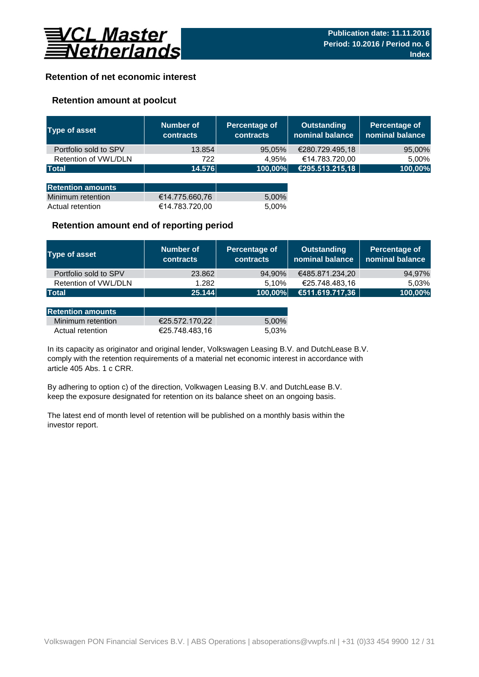

### **Retention of net economic interest**

### **Retention amount at poolcut**

| <b>Type of asset</b>     | Number of<br><b>contracts</b> | Percentage of<br><b>contracts</b> | <b>Outstanding</b><br>nominal balance | Percentage of<br>nominal balance |
|--------------------------|-------------------------------|-----------------------------------|---------------------------------------|----------------------------------|
| Portfolio sold to SPV    | 13.854                        | 95,05%                            | €280.729.495,18                       | 95,00%                           |
| Retention of VWL/DLN     | 722                           | 4.95%                             | €14.783.720,00                        | 5,00%                            |
| <b>Total</b>             | 14.576                        | 100,00%                           | €295.513.215,18                       | 100,00%                          |
|                          |                               |                                   |                                       |                                  |
| <b>Retention amounts</b> |                               |                                   |                                       |                                  |
| Minimum retention        | €14.775.660,76                | 5,00%                             |                                       |                                  |
| Actual retention         | €14.783.720,00                | 5.00%                             |                                       |                                  |

### **Retention amount end of reporting period**

| Type of asset         | Number of<br><b>contracts</b> | Percentage of<br><b>contracts</b> | Outstanding<br>nominal balance | Percentage of<br>nominal balance |
|-----------------------|-------------------------------|-----------------------------------|--------------------------------|----------------------------------|
| Portfolio sold to SPV | 23.862                        | 94,90%                            | €485.871.234,20                | 94,97%                           |
| Retention of VWL/DLN  | 1.282                         | 5.10%                             | €25.748.483,16                 | 5,03%                            |
| <b>Total</b>          | 25.144                        | 100,00%                           | €511.619.717,36                | 100,00%                          |

| <b>Retention amounts</b> |                |       |
|--------------------------|----------------|-------|
| Minimum retention        | €25.572.170.22 | 5.00% |
| Actual retention         | €25.748.483.16 | 5.03% |

article 405 Abs. 1 c CRR. In its capacity as originator and original lender, Volkswagen Leasing B.V. and DutchLease B.V. comply with the retention requirements of a material net economic interest in accordance with

By adhering to option c) of the direction, Volkwagen Leasing B.V. and DutchLease B.V. keep the exposure designated for retention on its balance sheet on an ongoing basis.

The latest end of month level of retention will be published on a monthly basis within the investor report.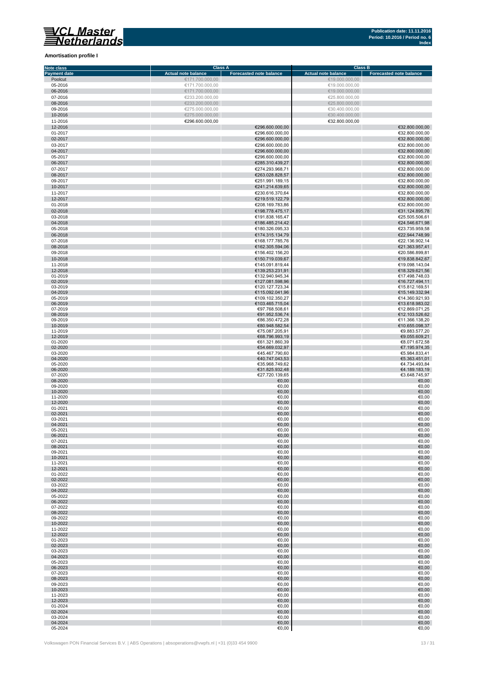

#### **Amortisation profile I**

| <b>Note class</b>   |                            | Class A                        |                            | Class B                        |
|---------------------|----------------------------|--------------------------------|----------------------------|--------------------------------|
| <b>Payment date</b> | <b>Actual note balance</b> | <b>Forecasted note balance</b> | <b>Actual note balance</b> | <b>Forecasted note balance</b> |
| Poolcut             | €171.700.000,00            |                                | €19.000.000,00             |                                |
| 05-2016             | €171.700.000,00            |                                | €19.000.000,00             |                                |
| 06-2016             | €171.700.000,00            |                                | €19.000.000,00             |                                |
| 07-2016             | €233.200.000,00            |                                | €25.800.000,00             |                                |
| 08-2016             |                            |                                |                            |                                |
|                     | €233.200.000,00            |                                | €25.800.000,00             |                                |
| 09-2016             | €275.000.000,00            |                                | €30.400.000,00             |                                |
| 10-2016             | €275.000.000,00            |                                | €30.400.000,00             |                                |
| 11-2016             | €296.600.000,00            |                                | €32.800.000,00             |                                |
| 12-2016             |                            | €296.600.000,00                |                            | €32.800.000,00                 |
| 01-2017             |                            | €296.600.000,00                |                            | €32.800.000,00                 |
|                     |                            |                                |                            |                                |
| 02-2017             |                            | €296.600.000,00                |                            | €32.800.000,00                 |
| 03-2017             |                            | €296.600.000,00                |                            | €32.800.000,00                 |
| 04-2017             |                            | €296.600.000,00                |                            | €32.800.000,00                 |
| 05-2017             |                            | €296.600.000,00                |                            | €32.800.000,00                 |
| 06-2017             |                            | €285.310.439,27                |                            | €32.800.000,00                 |
|                     |                            |                                |                            |                                |
| 07-2017             |                            | €274.293.968,71                |                            | €32.800.000,00                 |
| 08-2017             |                            | €263.028.828,57                |                            | €32.800.000,00                 |
| 09-2017             |                            | €251.991.189,15                |                            | €32.800.000,00                 |
| 10-2017             |                            | €241.214.639,65                |                            | €32.800.000,00                 |
| 11-2017             |                            | €230.616.370,64                |                            | €32.800.000,00                 |
|                     |                            |                                |                            |                                |
| 12-2017             |                            | €219.519.122,79                |                            | €32.800.000,00                 |
| 01-2018             |                            | €208.169.783,86                |                            | €32.800.000,00                 |
| 02-2018             |                            | €198.778.475,17                |                            | €31.124.895,78                 |
| 03-2018             |                            | €191.838.165,47                |                            | €25.505.506,61                 |
| 04-2018             |                            | €186.485.214,42                |                            | €24.546.671,98                 |
|                     |                            |                                |                            |                                |
| 05-2018             |                            | €180.326.095,33                |                            | €23.735.959,58                 |
| 06-2018             |                            | €174.315.134,79                |                            | €22.944.748,99                 |
| 07-2018             |                            | €168.177.785,76                |                            | €22.136.902,14                 |
| 08-2018             |                            | €162.305.594,06                |                            | €21.363.957,41                 |
| 09-2018             |                            | €156.402.156,20                |                            | €20.586.899,81                 |
|                     |                            |                                |                            |                                |
| 10-2018             |                            | €150.719.039,67                |                            | €19.838.842,67                 |
| 11-2018             |                            | €145.091.819,44                |                            | €19.098.143,04                 |
| 12-2018             |                            | €139.253.231,91                |                            | €18.329.621,56                 |
| 01-2019             |                            | €132.940.945,34                |                            | €17.498.748,03                 |
| 02-2019             |                            | €127.081.598,96                |                            | €16.727.494,11                 |
| 03-2019             |                            | €120.127.723,34                |                            | €15.812.169,51                 |
| 04-2019             |                            | €115.092.041,96                |                            |                                |
|                     |                            |                                |                            | €15.149.332,94                 |
| 05-2019             |                            | €109.102.350,27                |                            | €14.360.921,93                 |
| 06-2019             |                            | €103.465.715,04                |                            | €13.618.983,02                 |
| 07-2019             |                            | €97.768.508,61                 |                            | €12.869.071,25                 |
| 08-2019             |                            | €91.952.536,74                 |                            | €12.103.526,62                 |
| 09-2019             |                            | €86.350.472,28                 |                            | €11.366.138,20                 |
| 10-2019             |                            | €80.948.582,54                 |                            | €10.655.098,37                 |
| 11-2019             |                            | €75.087.205,91                 |                            | €9.883.577,20                  |
| 12-2019             |                            | €68.796.993,19                 |                            | €9.055.609,21                  |
| 01-2020             |                            | €61.321.860,39                 |                            | €8.071.672,58                  |
| 02-2020             |                            | €54.669.032,97                 |                            | €7.195.974,35                  |
|                     |                            |                                |                            |                                |
| 03-2020             |                            | €45.467.790,60                 |                            | €5.984.833,41                  |
| 04-2020             |                            | €40.747.043,53                 |                            | €5.363.451,01                  |
| 05-2020             |                            | €35.968.749,62                 |                            | €4.734.493,84                  |
| 06-2020             |                            | €31.825.932,48                 |                            | €4.189.183,19                  |
| 07-2020             |                            | €27.720.139,65                 |                            | €3.648.745,97                  |
| 08-2020             |                            | €0,00                          |                            | €0,00                          |
| 09-2020             |                            | €0,00                          |                            | €0,00                          |
| 10-2020             |                            | €0,00                          |                            | €0,00                          |
| 11-2020             |                            | €0,00                          |                            | €0,00                          |
| 12-2020             |                            | €0,00                          |                            | €0,00                          |
| 01-2021             |                            | €0,00                          |                            | €0,00                          |
| 02-2021             |                            |                                |                            | €0,00                          |
|                     |                            | €0,00                          |                            |                                |
| 03-2021             |                            | €0,00                          |                            | €0,00                          |
| 04-2021             |                            | €0,00                          |                            | €0,00                          |
| 05-2021             |                            | $\epsilon$ 0,00                |                            | €0,00                          |
| 06-2021             |                            | €0,00                          |                            | €0,00                          |
| 07-2021             |                            | €0,00                          |                            | €0,00                          |
| 08-2021             |                            | €0,00                          |                            | €0,00                          |
| 09-2021             |                            | €0,00                          |                            | €0,00                          |
| 10-2021             |                            | €0,00                          |                            | €0,00                          |
| 11-2021             |                            | €0,00                          |                            | €0,00                          |
|                     |                            |                                |                            |                                |
| 12-2021             |                            | €0,00                          |                            | €0,00                          |
| 01-2022             |                            | €0,00                          |                            | €0,00                          |
| 02-2022             |                            | €0,00                          |                            | €0,00                          |
| 03-2022             |                            | €0,00                          |                            | €0,00                          |
| 04-2022             |                            | €0,00                          |                            | €0,00                          |
| 05-2022             |                            | €0,00                          |                            | €0,00                          |
| 06-2022             |                            | €0,00                          |                            | €0,00                          |
| 07-2022             |                            | €0,00                          |                            | €0,00                          |
|                     |                            |                                |                            |                                |
| 08-2022             |                            | €0,00                          |                            | €0,00                          |
| 09-2022             |                            | €0,00                          |                            | €0,00                          |
| 10-2022             |                            | €0,00                          |                            | €0,00                          |
| 11-2022             |                            | €0,00                          |                            | €0,00                          |
| 12-2022             |                            | €0,00                          |                            | €0,00                          |
| 01-2023             |                            | €0,00                          |                            | €0,00                          |
| 02-2023             |                            | €0,00                          |                            | €0,00                          |
| 03-2023             |                            | €0,00                          |                            | €0,00                          |
| 04-2023             |                            | €0,00                          |                            | €0,00                          |
| 05-2023             |                            | €0,00                          |                            | €0,00                          |
|                     |                            | €0,00                          |                            | €0,00                          |
| 06-2023             |                            |                                |                            |                                |
| 07-2023             |                            | €0,00                          |                            | €0,00                          |
| 08-2023             |                            | €0,00                          |                            | €0,00                          |
| 09-2023             |                            | €0,00                          |                            | €0,00                          |
| 10-2023             |                            | €0,00                          |                            | €0,00                          |
| 11-2023             |                            | €0,00                          |                            | €0,00                          |
| 12-2023             |                            | €0,00                          |                            | €0,00                          |
| 01-2024             |                            | €0,00                          |                            | €0,00                          |
| 02-2024             |                            | €0,00                          |                            | €0,00                          |
|                     |                            |                                |                            |                                |
| 03-2024             |                            | €0,00                          |                            | €0,00                          |
| 04-2024             |                            | €0,00                          |                            | €0,00                          |
| 05-2024             |                            | €0,00                          |                            | €0,00                          |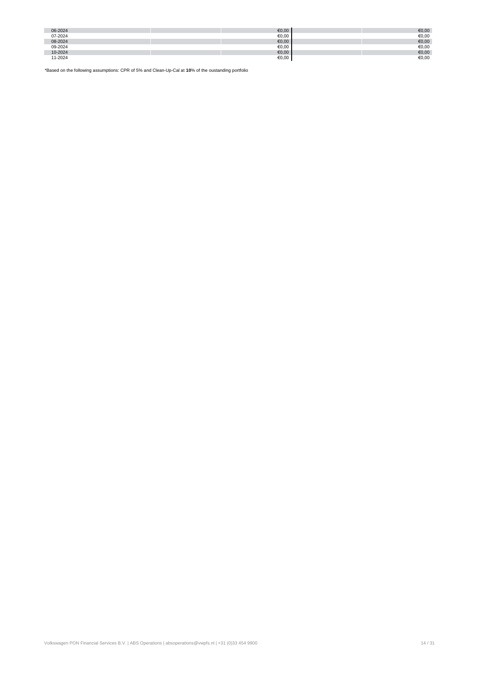| 06-2024 | €0,00           | €0,00 |
|---------|-----------------|-------|
| 07-2024 | €0,00           | €0,00 |
| 08-2024 | €0,00           | €0,00 |
| 09-2024 | €0,00           | €0,00 |
| 10-2024 | $\epsilon$ 0,00 | €0,00 |
| 11-2024 | €0,00           | €0,00 |
|         |                 |       |

\*Based on the following assumptions: CPR of 5% and Clean-Up-Cal at **10**% of the oustanding portfolio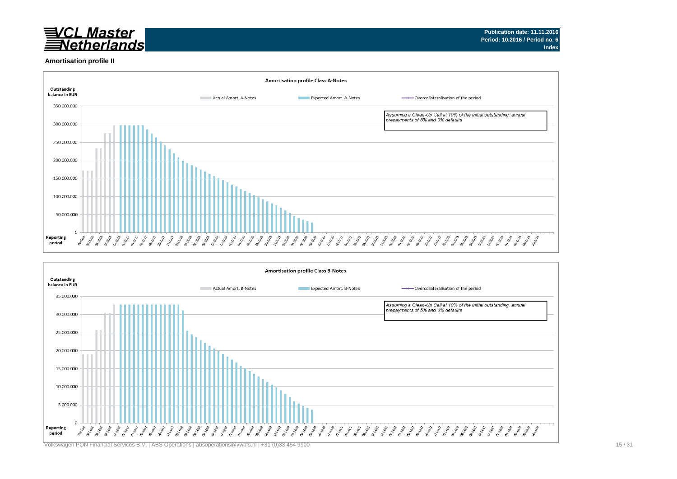

#### **Amortisation profile II**



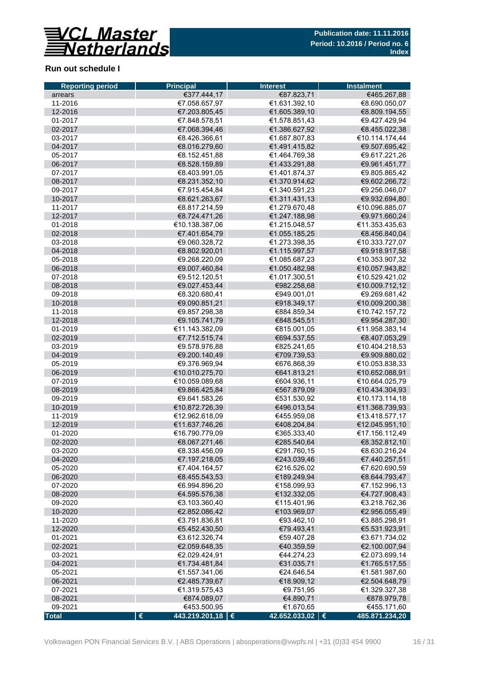

## **Run out schedule I**

| <b>Reporting period</b> | <b>Principal</b>                       | <b>Interest</b>   | <b>Instalment</b> |
|-------------------------|----------------------------------------|-------------------|-------------------|
| arrears                 | €377.444,17                            | €87.823,71        | €465.267,88       |
| 11-2016                 | €7.058.657,97                          | €1.631.392,10     | €8.690.050,07     |
| 12-2016                 | €7.203.805,45                          | €1.605.389,10     | €8.809.194,55     |
| 01-2017                 | €7.848.578,51                          | €1.578.851,43     | €9.427.429,94     |
| 02-2017                 | €7.068.394,46                          | €1.386.627,92     | €8.455.022,38     |
| 03-2017                 | €8.426.366,61                          | €1.687.807,83     | €10.114.174,44    |
| 04-2017                 | €8.016.279,60                          | €1.491.415,82     | €9.507.695,42     |
| 05-2017                 | €8.152.451,88                          | €1.464.769,38     | €9.617.221,26     |
| 06-2017                 | €8.528.159,89                          | €1.433.291,88     | €9.961.451,77     |
| 07-2017                 | €8.403.991,05                          | €1.401.874,37     | €9.805.865,42     |
| 08-2017                 | €8.231.352,10                          | €1.370.914,62     | €9.602.266,72     |
| 09-2017                 | €7.915.454,84                          | €1.340.591,23     | €9.256.046,07     |
| 10-2017                 | €8.621.263,67                          | €1.311.431,13     | €9.932.694,80     |
| 11-2017                 | €8.817.214,59                          | €1.279.670,48     | €10.096.885,07    |
| 12-2017                 | €8.724.471,26                          | €1.247.188,98     | €9.971.660,24     |
| 01-2018                 | €10.138.387,06                         | €1.215.048,57     | €11.353.435,63    |
| 02-2018                 | €7.401.654,79                          | €1.055.185,25     | €8.456.840,04     |
| 03-2018                 | €9.060.328,72                          | €1.273.398.35     | €10.333.727,07    |
| 04-2018                 | €8.802.920,01                          | €1.115.997,57     | €9.918.917,58     |
| 05-2018                 | €9.268.220,09                          | €1.085.687,23     | €10.353.907,32    |
| 06-2018                 | €9.007.460,84                          | €1.050.482,98     | €10.057.943,82    |
| 07-2018                 | €9.512.120.51                          | €1.017.300,51     | €10.529.421,02    |
| 08-2018                 | €9.027.453,44                          | €982.258,68       | €10.009.712,12    |
| 09-2018                 | €8.320.680,41                          | €949.001,01       | €9.269.681,42     |
| 10-2018                 | €9.090.851,21                          | €918.349,17       | €10.009.200,38    |
| 11-2018                 | €9.857.298,38                          | €884.859,34       | €10.742.157,72    |
| 12-2018                 | €9.105.741,79                          | €848.545,51       | €9.954.287,30     |
| 01-2019                 | €11.143.382,09                         | €815.001,05       | €11.958.383,14    |
| 02-2019                 | €7.712.515,74                          | €694.537,55       | €8.407.053,29     |
| 03-2019                 | €9.578.976,88                          | €825.241,65       | €10.404.218,53    |
| 04-2019                 | €9.200.140,49                          | €709.739,53       | €9.909.880,02     |
| 05-2019                 | €9.376.969,94                          | €676.868,39       | €10.053.838,33    |
| 06-2019                 | €10.010.275,70                         | €641.813,21       | €10.652.088,91    |
| 07-2019                 | €10.059.089,68                         | €604.936,11       | €10.664.025,79    |
| 08-2019                 | €9.866.425,84                          | €567.879,09       | €10.434.304,93    |
| 09-2019                 | €9.641.583,26                          | €531.530,92       | €10.173.114,18    |
| 10-2019                 | €10.872.726,39                         | €496.013,54       | €11.368.739,93    |
| 11-2019                 | €12.962.618,09                         | €455.959,08       | €13.418.577,17    |
| 12-2019                 | €11.637.746,26                         | €408.204,84       | €12.045.951,10    |
| 01-2020                 | €16.790.779,09                         | €365.333,40       | €17.156.112,49    |
| 02-2020                 | €8.067.271,46                          | €285.540,64       | €8.352.812,10     |
| 03-2020                 | €8.338.456,09                          | €291.760,15       | €8.630.216,24     |
| 04-2020                 | €7.197.218,05                          | €243.039,46       | €7.440.257,51     |
| 05-2020                 | €7.404.164,57                          | €216.526,02       | €7.620.690,59     |
| 06-2020                 | €8.455.543,53                          | €189.249,94       | €8.644.793,47     |
| 07-2020                 | €6.994.896,20                          | €158.099,93       | €7.152.996,13     |
| 08-2020                 | €4.595.576,38                          | €132.332,05       | €4.727.908,43     |
| 09-2020                 | €3.103.360,40                          | €115.401,96       | €3.218.762,36     |
| 10-2020                 | €2.852.086,42                          | €103.969,07       | €2.956.055,49     |
| 11-2020                 | €3.791.836,81                          | €93.462,10        | €3.885.298,91     |
| 12-2020                 | €5.452.430,50                          | €79.493,41        | €5.531.923,91     |
| 01-2021                 | €3.612.326,74                          | €59.407,28        | €3.671.734,02     |
| 02-2021                 | €2.059.648,35                          | €40.359,59        | €2.100.007,94     |
| 03-2021                 | €2.029.424,91                          | €44.274,23        | €2.073.699,14     |
| 04-2021                 | €1.734.481,84                          | €31.035,71        | €1.765.517,55     |
| 05-2021                 | €1.557.341,06                          | €24.646,54        | €1.581.987,60     |
| 06-2021                 | €2.485.739,67                          | €18.909,12        | €2.504.648,79     |
| 07-2021                 | €1.319.575,43                          | €9.751,95         | €1.329.327,38     |
| 08-2021                 | €874.089,07                            | €4.890,71         | €878.979,78       |
| 09-2021                 | €453.500,95                            | €1.670,65         | €455.171,60       |
| <b>Total</b>            | $\pmb{\epsilon}$<br>443.219.201,18   € | 42.652.033,02   € | 485.871.234,20    |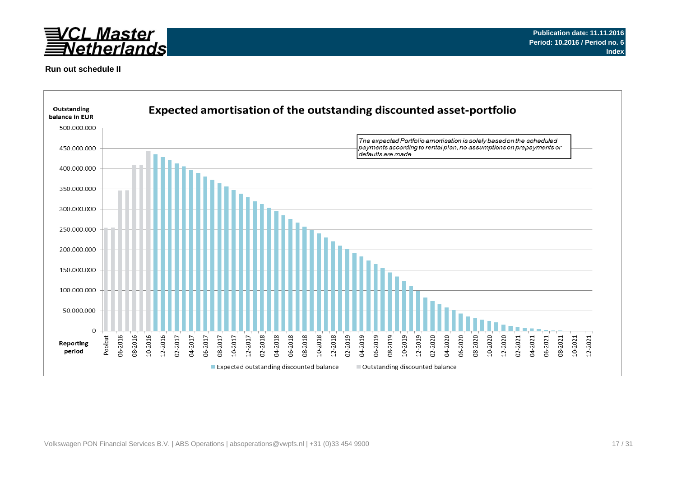

#### **Run out schedule II**

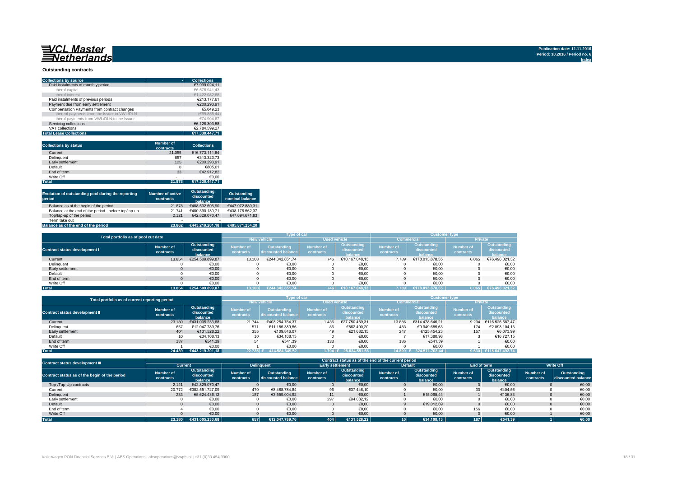## 

#### **Outstanding contracts**

| <b>Collections by source</b>                | <b>Collections</b> |
|---------------------------------------------|--------------------|
| Paid instalments of monthly period          | €7.999.024.11      |
| therof capital                              | €6.576.941.43      |
| therof interest                             | €1.422.082.68      |
| Paid instalments of previous periods        | €213.177.61        |
| Payment due from early settlement           | €200.293.91        |
| Compensation Payments from contract changes | €5.049.23          |
| thereof payments from the Issuer to VWL/DLN | (€69.855.44)       |
| therof payments from VWL/DLN to the Issuer  | €74.904.67         |
| Servicing collections                       | €6.128.303.58      |
| VAT collections                             | €2.784.599.27      |
| <b>Total Lease Collections</b>              | €17.330.447.71     |

| <b>Collections by status</b> | <b>Number of</b><br>contracts | <b>Collections</b> |
|------------------------------|-------------------------------|--------------------|
| Current                      | 21.055                        | €16.773.111.64     |
| Delinquent                   | 657                           | €313.323.73        |
| Early settlement             | 125                           | €200.293.91        |
| Default                      | 8                             | €805.61            |
| End of term                  | 33                            | €42.912.82         |
| Write Off                    | $\overline{\phantom{a}}$      | €0.00              |
| Total                        | 21.878                        | €17.330.447,71     |

| Evolution of outstanding pool during the reporting<br>period | <b>Number of active</b><br>contracts | Outstanding<br>discounted<br>balance | Outstanding<br>nominal balance |
|--------------------------------------------------------------|--------------------------------------|--------------------------------------|--------------------------------|
| Balance as of the begin of the period                        | 21.878                               | €408.532.596.90                      | €447.972.880.31                |
| Balance at the end of the period - before top/tap-up         | 21.741                               | €400.390.130.71                      | €438.176.562.37                |
| Top/tap-up of the period                                     | 2.121                                | €42.829.070.47                       | €47.694.671.83                 |
| Term take out                                                | $\overline{\phantom{a}}$             |                                      |                                |
| Balance as of the end of the period                          | 23.862                               | €443.219.201.18                      | €485.871.234.20                |

|                                      | Total portfolio as of pool cut date |                           |                    |                    | <b>T</b> vpe of car |                | <b>Customer type</b> |                 |                  |                |  |
|--------------------------------------|-------------------------------------|---------------------------|--------------------|--------------------|---------------------|----------------|----------------------|-----------------|------------------|----------------|--|
|                                      |                                     |                           | <b>New vehicle</b> |                    | <b>Used vehicle</b> |                | <b>Commercial</b>    |                 | Private          |                |  |
|                                      | Number of                           | Outstanding               | <b>Number of</b>   | Outstanding        | <b>Number of</b>    | Outstanding    | Number of            | Outstanding     | <b>Number of</b> | Outstanding    |  |
| <b>Contract status development I</b> | contracts                           | discounted                | contracts          | discounted balance | contracts           | discounted     | contracts            | discounted      | contracts        | discounted     |  |
|                                      |                                     | balance                   |                    |                    |                     | halance        |                      | halance         |                  | balance        |  |
| Current                              | 13.854                              | €254.509.899.87           | 13.108             | €244.342.851.74    | 746                 | €10.167.048.13 | 7.789                | €178.013.878.55 | 6.065            | €76.496.021.32 |  |
| Delinquent                           |                                     | €0,00                     |                    | €0,00              |                     | €0,00          |                      | €0,00           |                  | €0,00          |  |
| Early settlement                     |                                     | €0,00                     |                    | €0,00              |                     | €0.00          |                      | €0,00           |                  | €0,00          |  |
| Default                              |                                     | €0,00                     |                    | €0,00              |                     | €0,00          |                      | €0,00           |                  | €0,00          |  |
| End of term                          |                                     | €0.00                     |                    | €0.00              |                     | €0.00          |                      | €0.00           |                  | €0,00          |  |
| Write Off                            |                                     | €0.00                     |                    | €0.00              |                     | €0.00          |                      | €0.00           |                  | €0.00          |  |
| <b>Total</b>                         | 13.854                              | $\epsilon$ 254.509.899.87 | 13.108             | €244.342.851.74    | 746                 | €10.167.048.13 | 7.789                | €178.013.878.55 | 6.065            | €76.496.021,32 |  |

|                                       | Total portfolio as of current reporting period |                                      |                               |                                          |                               |                                      | <b>Customer type</b>          |                                      |                               |                                      |  |
|---------------------------------------|------------------------------------------------|--------------------------------------|-------------------------------|------------------------------------------|-------------------------------|--------------------------------------|-------------------------------|--------------------------------------|-------------------------------|--------------------------------------|--|
|                                       |                                                |                                      | <b>New vehicle</b>            |                                          | <b>Used vehicle</b>           |                                      |                               | <b>Commercial</b>                    | <b>Private</b>                |                                      |  |
| <b>Contract status development II</b> | Number of<br>contracts                         | Outstanding<br>discounted<br>balance | <b>Number of</b><br>contracts | <b>Outstanding</b><br>discounted balance | <b>Number of</b><br>contracts | Outstanding<br>discounted<br>balance | <b>Number of</b><br>contracts | Outstanding<br>discounted<br>halance | <b>Number of</b><br>contracts | Outstanding<br>discounted<br>balance |  |
| Current                               | 23.180                                         | €431.005.233.68                      | 21.744                        | €403.254.764.37                          | 1.436                         | €27.750.469.31                       | 13,886                        | €314.478.646.21                      | 9.294                         | €116.526.587.47                      |  |
| Delinquent                            | 657                                            | €12.047.789.76                       | 571                           | €11.185.389.56                           | 86                            | €862.400.20                          | 483                           | €9.949.685.63                        | 174                           | €2.098.104.13                        |  |
| Early settlement                      | 404                                            | €131.528.22                          | 355                           | €109.846.07                              | 49                            | €21.682.15                           | 247                           | €125.454.23                          | 157                           | €6.073.99                            |  |
| Default                               |                                                | €34.108.13                           | 10                            | €34.108.13                               |                               | €0.00                                |                               | €17.380.98                           |                               | €16.727,15                           |  |
| End of term                           | 187                                            | €541.39                              | 54                            | €541.39                                  | 133                           | €0.00                                | 186                           | €541.39                              |                               | €0.00                                |  |
| Write Off                             |                                                | €0.00                                |                               | €0.00                                    |                               | €0.00                                |                               | €0.00                                |                               | €0.00                                |  |
| <b>Total</b>                          | 24.439                                         | €443.219.201.18                      | $22.735$ €                    | 414.584.649.52                           |                               | $1.704$ ∈ 28.634.551.66              | 14.809                        | 324.571.708.44                       | 9.630                         | €118.647.492.74                      |  |

| <b>Contract status development III</b>        | Contract status as of the end of the current period |                                      |                               |                                   |                               |                                      |                        |                                      |                               |                                      |                        |                                   |
|-----------------------------------------------|-----------------------------------------------------|--------------------------------------|-------------------------------|-----------------------------------|-------------------------------|--------------------------------------|------------------------|--------------------------------------|-------------------------------|--------------------------------------|------------------------|-----------------------------------|
|                                               | <b>Current</b>                                      |                                      | <b>Delinguent</b>             |                                   |                               | <b>Early settlement</b>              |                        | <b>Default</b>                       |                               | End of term                          |                        | <b>Write Off</b>                  |
| Contract status as of the begin of the period | <b>Number of</b><br>contracts                       | Outstanding<br>discounted<br>halance | <b>Number of</b><br>contracts | Outstanding<br>discounted balance | <b>Number of</b><br>contracts | Outstanding<br>discounted<br>balance | Number of<br>contracts | Outstanding<br>discounted<br>balance | <b>Number of</b><br>contracts | Outstanding<br>discounted<br>balance | Number of<br>contracts | Outstanding<br>discounted balance |
| Top-/Tap-Up contracts                         | 2.121                                               | €42.829.070.47                       |                               | €0,00                             |                               | €0,00                                |                        | €0,00                                |                               | €0,00                                |                        | €0,00                             |
| Current                                       | 20,772                                              | €382.551.727.09                      | 470                           | €8.488.784.84                     | 96                            | €37.446.10                           |                        | €0,00                                |                               | €404.56                              |                        | €0,00                             |
| Delinquent                                    | 283                                                 | €5.624.436.12                        | 187                           | €3.559.004.92                     | 11                            | €0.00                                |                        | €15.095.44                           |                               | €136.83                              |                        | €0,00                             |
| Early settlement                              |                                                     | €0.00                                |                               | €0,00                             | 297                           | €94.082.12                           |                        | €0,00                                |                               | €0,00                                |                        | €0,00                             |
| Default                                       |                                                     | €0.00                                |                               | €0,00                             |                               | €0.00                                |                        | €19,012.69                           |                               | €0.00                                |                        | €0,00                             |
| End of term                                   |                                                     | €0.00                                |                               | €0,00                             |                               | €0,00                                |                        | €0.00                                | 156                           | €0.00                                |                        | €0,00                             |
| Write Off                                     |                                                     | €0,00                                |                               | €0,00                             |                               | €0,00                                |                        | €0,00                                |                               | €0,00                                |                        | €0,00                             |
| <b>Total</b>                                  | 23.180                                              | €431.005.233.68                      | 657                           | €12.047.789.76                    | 404                           | €131.528.22                          | 10 <sub>1</sub>        | €34.108.13                           | 187                           | €541,39                              |                        | €0,00                             |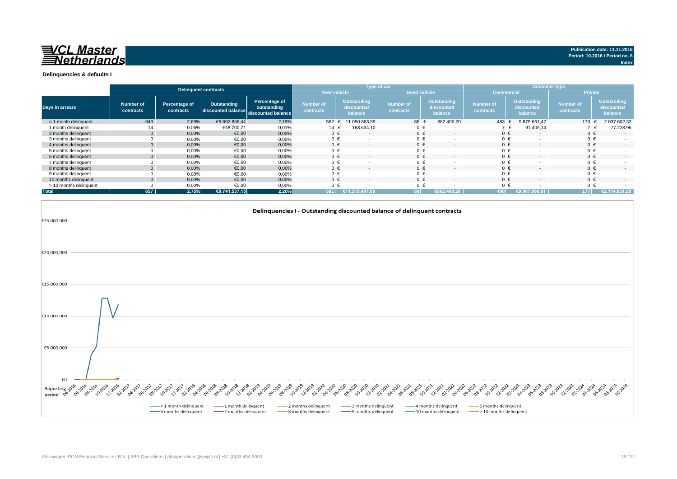

|                        |                        |                            | <b>Delinquent contracts</b>                          |                              |                               |                                      | Type of car                   |                                      | <b>Customer type</b>          |                                             |                               |                                      |  |
|------------------------|------------------------|----------------------------|------------------------------------------------------|------------------------------|-------------------------------|--------------------------------------|-------------------------------|--------------------------------------|-------------------------------|---------------------------------------------|-------------------------------|--------------------------------------|--|
|                        |                        |                            |                                                      |                              | New vehicle                   |                                      |                               | <b>Used vehicle</b>                  |                               | <b>Commercial</b>                           |                               | <b>Private</b>                       |  |
| <b>Days in arrears</b> | Number of<br>contracts | Percentage of<br>contracts | Outstanding<br>discounted balance discounted balance | Percentage of<br>outstanding | <b>Number of</b><br>contracts | Outstanding<br>discounted<br>balance | <b>Number of</b><br>contracts | Outstanding<br>discounted<br>balance | <b>Number of</b><br>contracts | <b>Outstanding</b><br>discounted<br>balance | <b>Number of</b><br>contracts | Outstanding<br>discounted<br>balance |  |
| < 1 month delinguent   | 643                    | 2,69%                      | €9.692.836.44                                        | 2,19%                        | 567                           | 11.050.863.59                        | 86                            | 862.400,20                           | 483 €                         | 9.875.661.47                                | 170                           | 2.037.602,32                         |  |
| 1 month delinguent     | 14                     | 0,06%                      | €48.700,71                                           | 0,01%                        |                               | 168.634,10                           | $0 \in$                       |                                      |                               | 91.405,14                                   |                               | 77.228,96                            |  |
| 2 months delinguent    |                        | 0.00%                      | €0.00                                                | 0.00%                        | $0 \in$                       | $\sim$                               | $0 \in$                       | $\sim$                               | $0 \in$                       | $\sim$                                      | $0 \in$                       | $\sim$                               |  |
| 3 months delinquent    |                        | 0,00%                      | €0,00                                                | 0,00%                        |                               |                                      | $0 \in$                       |                                      | 0 €                           |                                             | $0 \in$                       |                                      |  |
| 4 months delinquent    |                        | 0.00%                      | €0,00                                                | 0,00%                        | $0 \in$                       | $\overline{\phantom{a}}$             | $0 \in$                       | $\overline{a}$                       | $0 \in$                       |                                             | $0 \in$                       | $\sim$                               |  |
| 5 months delinquent    |                        | 0,00%                      | €0,00                                                | 0,00%                        |                               |                                      | $0 \in$                       | $\overline{\phantom{a}}$             | $0 \in$                       |                                             | $0 \in$                       |                                      |  |
| 6 months delinquent    |                        | 0.00%                      | €0,00                                                | 0,00%                        | $0 \in$                       | $\overline{\phantom{a}}$             | $0 \in$                       | $\overline{\phantom{a}}$             | $0 \in$                       |                                             | $0 \in$                       | $\overline{\phantom{a}}$             |  |
| 7 months delinquent    |                        | 0,00%                      | €0,00                                                | 0,00%                        |                               |                                      | $0 \in$                       | ٠.                                   | 0 €                           |                                             | $0 \in$                       |                                      |  |
| 8 months delinguent    |                        | 0.00%                      | €0,00                                                | 0.00%                        | $0 \in$                       | $\overline{\phantom{a}}$             | $0 \in$                       | $\overline{a}$                       | $0 \in$                       |                                             | $0 \in$                       | $\sim$                               |  |
| 9 months delinquent    |                        | 0,00%                      | €0.00                                                | 0,00%                        |                               |                                      | $0 \in$                       |                                      | 0 €                           |                                             | $0 \in$                       |                                      |  |
| 10 months delinquent   |                        | 0.00%                      | €0.00                                                | 0.00%                        | $0 \in$                       | $\overline{\phantom{a}}$             | $0 \in$                       | $\overline{a}$                       | $0 \in$                       | $\sim$                                      | $0 \in$                       | $\sim$                               |  |
| > 10 months delinquent |                        | 0,00%                      | €0.00                                                | 0,00%                        |                               |                                      |                               |                                      | $0 \in$                       |                                             | $0 \in$                       |                                      |  |
| <b>Total</b>           | 657                    | 2.75%                      | €9.741.537.15                                        | 2.20%                        | 581                           |                                      | 86                            | €862.400.20                          | 490 I                         | E9.967.066.61                               | 177 <sup>1</sup>              | 4.831.28<br>€2.11                    |  |



**Index**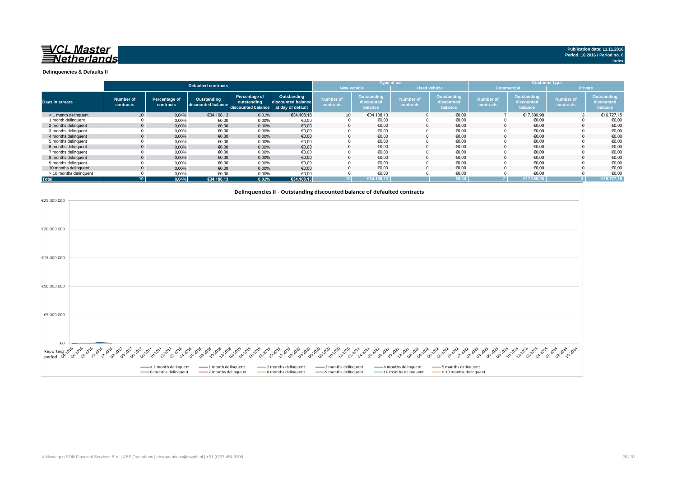

**Index**

**Delinquencies & Defaults II**

|                                            |                               | <b>Defaulted contracts</b>                  |                                             |                                                              |                                                        | Type of car                                  |                                      |                                               |                                                 | <b>Customer type</b>          |                                             |                               |                                      |
|--------------------------------------------|-------------------------------|---------------------------------------------|---------------------------------------------|--------------------------------------------------------------|--------------------------------------------------------|----------------------------------------------|--------------------------------------|-----------------------------------------------|-------------------------------------------------|-------------------------------|---------------------------------------------|-------------------------------|--------------------------------------|
|                                            |                               |                                             |                                             |                                                              |                                                        | <b>New vehicle</b>                           |                                      |                                               | <b>Used vehicle</b>                             |                               | <b>Commercial</b>                           |                               | Private                              |
| Days in arrears                            | <b>Number of</b><br>contracts | Percentage of<br>contracts                  | Outstanding<br>discounted balance           | Percentage of<br>outstanding<br>discounted balance           | Outstanding<br>discounted balance<br>at day of default | <b>Number of</b><br>contracts                | Outstanding<br>discounted<br>balance | <b>Number of</b><br>contracts                 | <b>Outstanding</b><br>discounted<br>balance     | <b>Number of</b><br>contracts | <b>Outstanding</b><br>discounted<br>balance | <b>Number of</b><br>contracts | Outstanding<br>discounted<br>balance |
| < 1 month delinquent                       | 10                            | 0,04%                                       | €34.108,13                                  | 0,01%                                                        | €34.108,13                                             | 10                                           | €34.108,13                           | $\Omega$                                      | €0,00                                           |                               | €17.380,98                                  | 3                             | €16.727,15                           |
| 1 month delinquent                         | $\mathbf 0$                   | 0,00%                                       | €0,00                                       | 0,00%                                                        | €0,00                                                  | $\Omega$                                     | €0,00                                | $\Omega$                                      | €0,00                                           |                               | €0,00                                       | $\Omega$                      | €0,00                                |
| 2 months delinquent                        | $\mathbf{0}$                  | 0,00%                                       | $\epsilon$ 0,00                             | 0,00%                                                        | €0,00                                                  | $\Omega$                                     | €0,00                                |                                               | €0,00                                           |                               | €0,00                                       |                               | €0,00                                |
| 3 months delinquent                        | $\mathbf 0$                   | 0,00%                                       | €0,00                                       | 0,00%                                                        | €0,00                                                  | $\Omega$                                     | €0,00                                | $\Omega$                                      | €0,00                                           | $\Omega$                      | €0,00                                       | $\Omega$                      | €0,00                                |
| 4 months delinquent                        | $\Omega$                      | 0,00%                                       | €0,00                                       | 0,00%                                                        | €0,00                                                  |                                              | €0,00                                |                                               | €0,00                                           |                               | €0,00                                       |                               | €0,00                                |
| 5 months delinquent                        | $\mathbf 0$                   | 0,00%                                       | $\epsilon$ 0,00                             | 0,00%                                                        | €0,00                                                  | $\Omega$                                     | €0,00                                | $\Omega$                                      | €0,00                                           | $\Omega$                      | €0,00                                       | $\Omega$                      | €0,00                                |
| 6 months delinquent                        | $\mathbf{0}$                  | 0,00%                                       | €0,00                                       | 0,00%                                                        | €0,00                                                  | $\Omega$<br>$\Omega$                         | €0,00                                | $\Omega$<br>$\Omega$                          | €0,00                                           | $\Omega$                      | €0,00                                       | $\Omega$<br>$\mathbf 0$       | €0,00<br>€0,00                       |
| 7 months delinquent<br>8 months delinquent | $\mathbf 0$<br>$\mathbf{0}$   | 0,00%<br>0,00%                              | €0,00<br>$\epsilon$ 0,00                    | 0,00%<br>0,00%                                               | €0,00<br>€0,00                                         | $\Omega$                                     | €0,00<br>€0,00                       | $\Omega$                                      | €0,00<br>€0,00                                  |                               | €0,00<br>€0,00                              | $\Omega$                      | €0,00                                |
| 9 months delinquent                        | $\mathbf 0$                   | 0,00%                                       | €0,00                                       | 0,00%                                                        | €0,00                                                  | $\Omega$                                     | €0,00                                | $\Omega$                                      | €0,00                                           | $\Omega$                      | €0,00                                       | $\Omega$                      | €0,00                                |
| 10 months delinquent                       | $\Omega$                      | 0,00%                                       | €0,00                                       | 0,00%                                                        | €0,00                                                  | $\Omega$                                     | €0,00                                |                                               | €0,00                                           |                               | €0,00                                       | $\Omega$                      | €0,00                                |
| > 10 months delinquent                     | $\overline{0}$                | 0,00%                                       | $\epsilon$ 0,00                             | 0,00%                                                        | €0,00                                                  | $^{\circ}$                                   | €0.00                                | $\Omega$                                      | €0,00                                           | $\Omega$                      | €0,00                                       | $\Omega$                      | €0,00                                |
| <b>Total</b>                               | 10 <sup>°</sup>               | 0,04%                                       | €34.108,13                                  | 0,01%                                                        | €34.108,13                                             | 10 <sub>1</sub>                              | €34.108.13                           |                                               | €0.00                                           |                               | €17.380.98                                  |                               | €16.727,15                           |
| €20.000.000<br>€15.000.000                 |                               |                                             |                                             |                                                              |                                                        |                                              |                                      |                                               |                                                 |                               |                                             |                               |                                      |
| €10.000.000                                |                               |                                             |                                             |                                                              |                                                        |                                              |                                      |                                               |                                                 |                               |                                             |                               |                                      |
| €5.000.000<br>€О                           |                               |                                             |                                             |                                                              |                                                        |                                              |                                      |                                               |                                                 |                               |                                             |                               |                                      |
|                                            |                               |                                             |                                             | <b>04.2019</b><br><b>OG-2019</b><br><b>28-2019</b><br>Ozzozo | 197019 227019 227010<br>04-2020                        | <b>TO20</b><br>OB-2020<br>10-2010 02-2012    | ok-2021<br>-6-2021<br>OB-2021        | 10-2021<br>12:2021                            |                                                 |                               |                                             |                               |                                      |
|                                            |                               | -4 month delinquent<br>-6 months delinquent | -1 month delinquent<br>-7 months delinquent |                                                              | -2 months delinquent<br>-8 months delinquent           | -3 months delinquent<br>-9 months delinquent |                                      | -4 months delinquent<br>-10 months delinquent | 5 months delinquent<br>- > 10 months delinquent |                               |                                             |                               |                                      |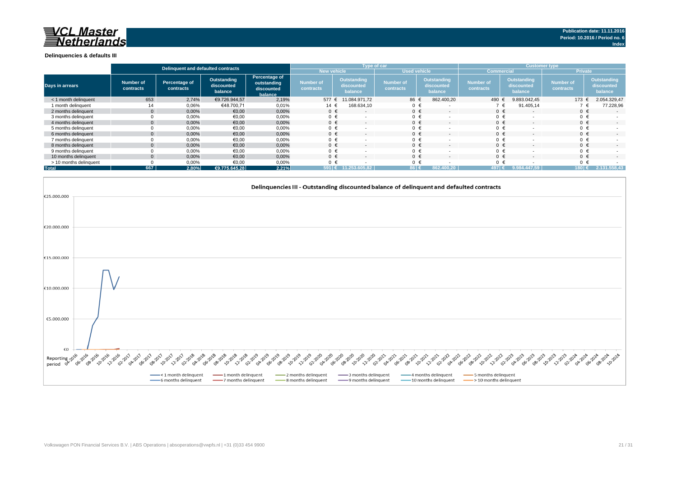#### **Delinquencies & defaults III**

|                        |                               | Delinquent and defaulted contracts |                                      |                                                       |                               |                                      | <b>Type of car</b>     |                                      | <b>Customer type</b>                                                         |                  |                        |                                      |  |  |
|------------------------|-------------------------------|------------------------------------|--------------------------------------|-------------------------------------------------------|-------------------------------|--------------------------------------|------------------------|--------------------------------------|------------------------------------------------------------------------------|------------------|------------------------|--------------------------------------|--|--|
|                        |                               |                                    |                                      |                                                       | <b>New vehicle</b>            |                                      | <b>Used vehicle</b>    |                                      | <b>Commercial</b>                                                            |                  | <b>Private</b>         |                                      |  |  |
| <b>Days in arrears</b> | <b>Number of</b><br>contracts | Percentage of<br>contracts         | Outstanding<br>discounted<br>balance | Percentage of<br>outstanding<br>discounted<br>balance | <b>Number of</b><br>contracts | Outstanding<br>discounted<br>balance | Number of<br>contracts | Outstanding<br>discounted<br>balance | <b>Outstanding</b><br><b>Number of</b><br>discounted<br>contracts<br>balance |                  | Number of<br>contracts | Outstanding<br>discounted<br>balance |  |  |
| < 1 month delinguent   | 653                           | 2.74%                              | €9.726.944.57                        | 2,19%                                                 | 577 €                         | 11.084.971.72                        | 86                     | 862.400,20                           | 490 €                                                                        | 9.893.042.45     | 173                    | 2.054.329,47                         |  |  |
| 1 month delinquent     | 14                            | 0,06%                              | €48.700,71                           | 0,01%                                                 | 14 €                          | 168.634,10                           | $0 \in$                |                                      |                                                                              | 91.405,14        |                        | 77.228,96                            |  |  |
| 2 months delinquent    | $\overline{0}$                | 0,00%                              | €0,00                                | 0,00%                                                 | $0 \in$                       | $\overline{\phantom{a}}$             | $0 \in$                | $\sim$                               | $0 \in$                                                                      | $\sim$           | $0 \in$                | $\overline{\phantom{a}}$             |  |  |
| 3 months delinquent    |                               | 0,00%                              | €0,00                                | 0,00%                                                 | $0 \in$                       |                                      | $0 \in$                |                                      | $0 \in$                                                                      |                  |                        |                                      |  |  |
| 4 months delinquent    | $\Omega$                      | 0,00%                              | €0,00                                | 0,00%                                                 | $0 \in$                       | $\overline{\phantom{0}}$             | $0 \in$                | $\overline{\phantom{a}}$             | $0 \in$                                                                      |                  | $0 \in$                | $\sim$                               |  |  |
| 5 months delinquent    |                               | 0,00%                              | €0,00                                | 0,00%                                                 | $0 \in$                       |                                      |                        |                                      | $0 \in$                                                                      |                  |                        |                                      |  |  |
| 6 months delinquent    | $\Omega$                      | 0,00%                              | €0.00                                | 0,00%                                                 | $0 \in$                       | $\overline{\phantom{0}}$             | $0 \in$                | $\overline{\phantom{a}}$             | $0 \in$                                                                      |                  | $0 \in$                | $\sim$                               |  |  |
| 7 months delinquent    |                               | 0,00%                              | €0,00                                | 0,00%                                                 | $0 \in$                       |                                      |                        |                                      | $0 \in$                                                                      |                  |                        |                                      |  |  |
| 8 months delinguent    | $\Omega$                      | 0,00%                              | €0,00                                | 0,00%                                                 | $0 \in$                       | $\sim$                               | $0 \in$                | $\overline{\phantom{a}}$             | $0 \in$                                                                      |                  | $0 \in$                | $\sim$                               |  |  |
| 9 months delinguent    |                               | 0,00%                              | €0.00                                | 0,00%                                                 | $0 \in$                       |                                      |                        |                                      | $0 \in$                                                                      |                  |                        |                                      |  |  |
| 10 months delinquent   | $\Omega$                      | 0,00%                              | €0.00                                | 0,00%                                                 | $0 \in$                       |                                      | $0 \in$                |                                      | $0 \in$                                                                      |                  | $0 \in$                | $\sim$                               |  |  |
| > 10 months delinquent |                               | 0,00%                              | €0.00                                | 0,00%                                                 | 0 €                           |                                      | $0 \in$                |                                      | $0 \in$                                                                      |                  |                        |                                      |  |  |
| <b>Total</b>           | 667                           | 2,80%                              | €9.775.645,28                        | 2,21%                                                 | 591                           | 11.253.605.82                        | 86 €                   | 862.400.20                           | 197 (                                                                        | 9.984.4<br>47.59 |                        | 2.131.558.43                         |  |  |

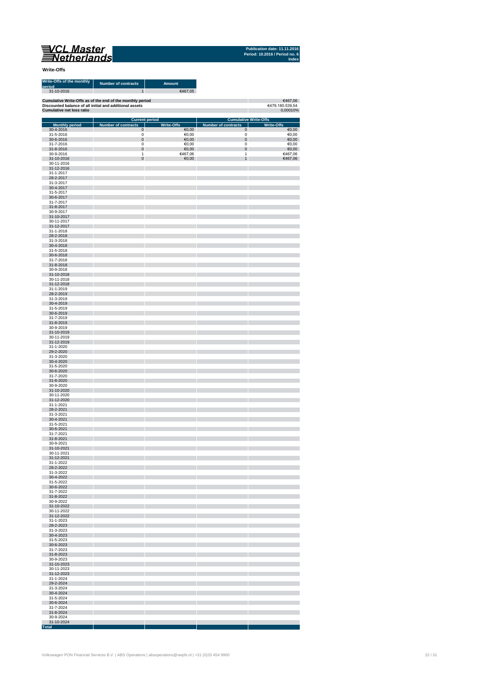

**Publication date: 11.11.2016 Period: 10.2016 / Period no. 6 Index**

**Write-Offs**

| Write-Offs of the monthly<br>period                                                                                  | <b>Number of contracts</b>      | <b>Amount</b>              |                                 |                              |
|----------------------------------------------------------------------------------------------------------------------|---------------------------------|----------------------------|---------------------------------|------------------------------|
| 31-10-2016<br>ш                                                                                                      | 1                               | €467,05                    |                                 |                              |
| Cumulative Write-Offs as of the end of the monthly period<br>Discounted balance of all initial and additional assets |                                 |                            |                                 | €467,06<br>€479.180.539,54   |
| <b>Cumulative net loss ratio</b>                                                                                     |                                 |                            |                                 | 0,00010%                     |
|                                                                                                                      |                                 | <b>Current period</b>      |                                 | <b>Cumulative Write-Offs</b> |
| <b>Monthly period</b><br>30-4-2016                                                                                   | <b>Number of contracts</b><br>0 | <b>Write-Offs</b><br>€0,00 | <b>Number of contracts</b><br>0 | <b>Write-Offs</b><br>€0,00   |
| 31-5-2016                                                                                                            | 0                               | €0,00                      | 0                               | €0,00                        |
| 30-6-2016                                                                                                            | 0                               | 60,00                      | $\pmb{0}$                       | €0,00                        |
| 31-7-2016<br>31-8-2016                                                                                               | 0<br>0                          | €0,00<br>60,00             | 0<br>$\pmb{0}$                  | €0,00<br>€0,00               |
| 30-9-2016<br>31-10-2016                                                                                              | 1<br>0                          | €467,06<br>$\epsilon$ 0,00 | 1<br>$\mathbf{1}$               | €467,06                      |
| 30-11-2016                                                                                                           |                                 |                            |                                 | €467,06                      |
| 31-12-2016<br>31-1-2017                                                                                              |                                 |                            |                                 |                              |
| 28-2-2017                                                                                                            |                                 |                            |                                 |                              |
| 31-3-2017<br>30-4-2017                                                                                               |                                 |                            |                                 |                              |
| 31-5-2017                                                                                                            |                                 |                            |                                 |                              |
| 30-6-2017<br>31-7-2017                                                                                               |                                 |                            |                                 |                              |
| 31-8-2017                                                                                                            |                                 |                            |                                 |                              |
| 30-9-2017<br>31-10-2017                                                                                              |                                 |                            |                                 |                              |
| 30-11-2017                                                                                                           |                                 |                            |                                 |                              |
| 31-12-2017<br>31-1-2018                                                                                              |                                 |                            |                                 |                              |
| 28-2-2018<br>31-3-2018                                                                                               |                                 |                            |                                 |                              |
| 30-4-2018                                                                                                            |                                 |                            |                                 |                              |
| 31-5-2018<br>30-6-2018                                                                                               |                                 |                            |                                 |                              |
| 31-7-2018                                                                                                            |                                 |                            |                                 |                              |
| 31-8-2018<br>30-9-2018                                                                                               |                                 |                            |                                 |                              |
| 31-10-2018                                                                                                           |                                 |                            |                                 |                              |
| 30-11-2018<br>31-12-2018                                                                                             |                                 |                            |                                 |                              |
| 31-1-2019                                                                                                            |                                 |                            |                                 |                              |
| 28-2-2019<br>31-3-2019                                                                                               |                                 |                            |                                 |                              |
| 30-4-2019<br>31-5-2019                                                                                               |                                 |                            |                                 |                              |
| 30-6-2019                                                                                                            |                                 |                            |                                 |                              |
| 31-7-2019<br>31-8-2019                                                                                               |                                 |                            |                                 |                              |
| 30-9-2019                                                                                                            |                                 |                            |                                 |                              |
| 31-10-2019<br>30-11-2019                                                                                             |                                 |                            |                                 |                              |
| 31-12-2019                                                                                                           |                                 |                            |                                 |                              |
| 31-1-2020<br>29-2-2020                                                                                               |                                 |                            |                                 |                              |
| 31-3-2020<br>30-4-2020                                                                                               |                                 |                            |                                 |                              |
| 31-5-2020                                                                                                            |                                 |                            |                                 |                              |
| 30-6-2020<br>31-7-2020                                                                                               |                                 |                            |                                 |                              |
| 31-8-2020                                                                                                            |                                 |                            |                                 |                              |
| 30-9-2020<br>31-10-2020                                                                                              |                                 |                            |                                 |                              |
| 30-11-2020<br>31-12-2020                                                                                             |                                 |                            |                                 |                              |
| 31-1-2021                                                                                                            |                                 |                            |                                 |                              |
| 28-2-2021<br>31-3-2021                                                                                               |                                 |                            |                                 |                              |
| 30-4-2021                                                                                                            |                                 |                            |                                 |                              |
| 31-5-2021<br>30-6-2021                                                                                               |                                 |                            |                                 |                              |
| 31-7-2021                                                                                                            |                                 |                            |                                 |                              |
| 31-8-2021<br>30-9-2021                                                                                               |                                 |                            |                                 |                              |
| 31-10-2021                                                                                                           |                                 |                            |                                 |                              |
| 30-11-2021<br>31-12-2021                                                                                             |                                 |                            |                                 |                              |
| 31-1-2022<br>28-2-2022                                                                                               |                                 |                            |                                 |                              |
| 31-3-2022                                                                                                            |                                 |                            |                                 |                              |
| 30-4-2022<br>31-5-2022                                                                                               |                                 |                            |                                 |                              |
| 30-6-2022                                                                                                            |                                 |                            |                                 |                              |
| 31-7-2022<br>31-8-2022                                                                                               |                                 |                            |                                 |                              |
| 30-9-2022                                                                                                            |                                 |                            |                                 |                              |
| 31-10-2022<br>30-11-2022                                                                                             |                                 |                            |                                 |                              |
| 31-12-2022<br>31-1-2023                                                                                              |                                 |                            |                                 |                              |
| 28-2-2023                                                                                                            |                                 |                            |                                 |                              |
| 31-3-2023<br>30-4-2023                                                                                               |                                 |                            |                                 |                              |
| 31-5-2023                                                                                                            |                                 |                            |                                 |                              |
| 30-6-2023<br>31-7-2023                                                                                               |                                 |                            |                                 |                              |
| 31-8-2023                                                                                                            |                                 |                            |                                 |                              |
| 30-9-2023<br>31-10-2023                                                                                              |                                 |                            |                                 |                              |
| 30-11-2023<br>31-12-2023                                                                                             |                                 |                            |                                 |                              |
| 31-1-2024                                                                                                            |                                 |                            |                                 |                              |
| 29-2-2024<br>31-3-2024                                                                                               |                                 |                            |                                 |                              |
| 30-4-2024                                                                                                            |                                 |                            |                                 |                              |
| 31-5-2024<br>30-6-2024                                                                                               |                                 |                            |                                 |                              |
| 31-7-2024                                                                                                            |                                 |                            |                                 |                              |
| 31-8-2024<br>30-9-2024                                                                                               |                                 |                            |                                 |                              |
| 31-10-2024<br>Total                                                                                                  |                                 |                            |                                 |                              |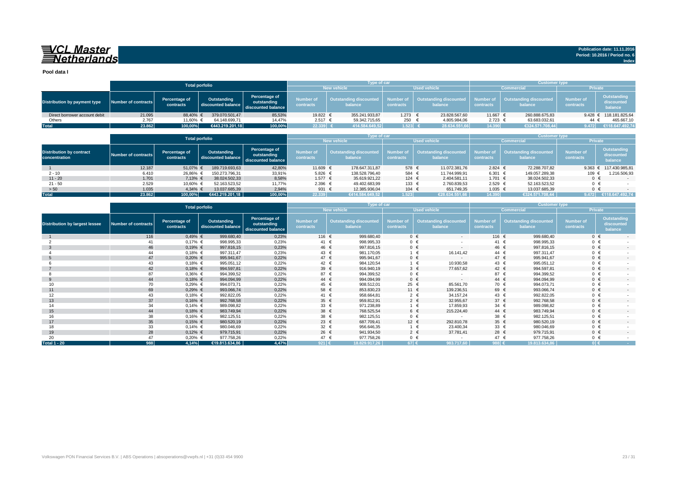## VCL Master<br>ENetherlands

**Index**

**Pool data I**

|                                     |                            |                            | <b>Total porfolio</b>             |                                                    |                               | <b>Type of car</b>                       |                               |  |                                   | <b>Customer type</b>                                       |                   |                        |                                      |  |  |
|-------------------------------------|----------------------------|----------------------------|-----------------------------------|----------------------------------------------------|-------------------------------|------------------------------------------|-------------------------------|--|-----------------------------------|------------------------------------------------------------|-------------------|------------------------|--------------------------------------|--|--|
|                                     |                            |                            |                                   |                                                    |                               | <b>New vehicle</b>                       | <b>Used vehicle</b>           |  |                                   |                                                            | <b>Commercial</b> | Private                |                                      |  |  |
| <b>Distribution by payment type</b> | <b>Number of contracts</b> | Percentage of<br>contracts | Outstanding<br>discounted balance | Percentage of<br>outstanding<br>discounted balance | <b>Number of</b><br>contracts | <b>Outstanding discounted</b><br>balance | <b>Number of</b><br>contracts |  | Outstanding discounted<br>balance | Number of   Outstanding discounted<br>balance<br>contracts |                   | Number of<br>contracts | Outstanding<br>discounted<br>balance |  |  |
| Direct borrower account debit       | 21.095                     | 88,40% €                   | 379.070.501.47                    | 85,53%                                             | 19.822                        | 355.241.933.87                           | 1.273                         |  | 23.828.567.60                     | 11.667                                                     | 260.888.675.83    |                        | 9.428 € 118.181.825,64               |  |  |
| Others                              | 2.767                      | 11,60%                     | 64.148.699.71                     | 14,47%                                             | 2.517                         | 59.342.715.65                            | $250 +$                       |  | 4.805.984.06                      | 2.723 ∈                                                    | 63.683.032,61     | 44 €                   | 465.667.10                           |  |  |
| <b>Total</b>                        | 23.862                     | 100,00%                    | €443.219.201,18                   | 100,00%                                            | 22.339                        | 414.584.649,52                           | 1.523                         |  | 28.634.551.66                     | 14.390                                                     | €324.571.708.44   | 9.472                  | €118.647.492,74                      |  |  |

|                                                  |                     |                            | <b>Total porfolio</b>             |                                                    |                               | <b>Type of car</b>                          |           |                                   | <b>Customer type</b>   |                                          |                               |                                      |  |  |
|--------------------------------------------------|---------------------|----------------------------|-----------------------------------|----------------------------------------------------|-------------------------------|---------------------------------------------|-----------|-----------------------------------|------------------------|------------------------------------------|-------------------------------|--------------------------------------|--|--|
|                                                  |                     |                            |                                   |                                                    |                               | <b>New vehicle</b>                          |           | <b>Used vehicle</b>               |                        | <b>Commercial</b>                        | <b>Private</b>                |                                      |  |  |
| <b>Distribution by contract</b><br>concentration | Number of contracts | Percentage of<br>contracts | Outstanding<br>discounted balance | Percentage of<br>outstanding<br>discounted balance | <b>Number of</b><br>contracts | Outstanding discounted Number of<br>balance | contracts | Outstanding discounted<br>balance | Number of<br>contracts | <b>Outstanding discounted</b><br>balance | <b>Number of</b><br>contracts | Outstanding<br>discounted<br>balance |  |  |
|                                                  | 12.187              | 51,07%                     | 189.719.693,63                    | 42,80%                                             | 11.609 €                      | 178.647.311.87                              | 578 €     | 11.072.381,76                     | $2.824$ €              | 72.288.707,82                            |                               | 9.363 € 117.430.985,81               |  |  |
| $2 - 10$                                         | 6.410               | 26,86%                     | 150.273.796.31                    | 33,91%                                             | $5.826$ €                     | 138.528.796.40                              | 584 €     | 11.744.999,91                     | 6.301 $∈$              | 149.057.289,38                           | 109 €                         | 1.216.506,93                         |  |  |
| $11 - 20$                                        | 1.701               | 7.13% €                    | 38.024.502.33                     | 8,58%                                              | $1.577$ €                     | 35.619.921.22                               | 124 $\in$ | 2.404.581,11                      | $1.701$ €              | 38.024.502.33                            |                               |                                      |  |  |
| $21 - 50$                                        | 2.529               | 10,60%                     | 52.163.523.52                     | 11,77%                                             | $2.396$ €                     | 49.402.683.99                               | 133 €     | 2.760.839.53                      | $2.529$ €              | 52.163.523,52                            |                               |                                      |  |  |
| > 50                                             | 1.035               | 4.34% €                    | 13.037.685.39                     | 2,94%                                              | 931 $\epsilon$                | 12.385.936.04                               | 104 €     | 651.749.35                        | $1.035$ €              | 13.037.685.39                            |                               |                                      |  |  |
| <b>Total</b>                                     | 23.862              | 100.00%                    | €443.219.201.18                   | 100,00%                                            | 22.339                        | €414.584.649.52                             | 1.523     | €28.634.551.66                    | 14.390                 | €324.571.708.44                          | 9.472                         | €118.647.492.74                      |  |  |

|                                       |                     |                            | <b>Total porfolio</b>             |                                                    |                               | Type of car                              |                       |                                          | <b>Customer type</b>  |                                          |                               |                                             |  |
|---------------------------------------|---------------------|----------------------------|-----------------------------------|----------------------------------------------------|-------------------------------|------------------------------------------|-----------------------|------------------------------------------|-----------------------|------------------------------------------|-------------------------------|---------------------------------------------|--|
|                                       |                     |                            |                                   |                                                    |                               | <b>New vehicle</b>                       |                       | <b>Used vehicle</b>                      |                       | <b>Commercial</b>                        | <b>Private</b>                |                                             |  |
| <b>Distribution by largest lessee</b> | Number of contracts | Percentage of<br>contracts | Outstanding<br>discounted balance | Percentage of<br>outstanding<br>discounted balance | <b>Number of</b><br>contracts | <b>Outstanding discounted</b><br>balance | Number o<br>contracts | <b>Outstanding discounted</b><br>balance | Number o<br>contracts | <b>Outstanding discounted</b><br>balance | <b>Number of</b><br>contracts | <b>Outstanding</b><br>discounted<br>balance |  |
|                                       | 116                 | $0,49%$ €                  | 999.680,40                        | 0,23%                                              | 116 €                         | 999.680,40                               | $0 \in$               | $\sim$                                   | 116 €                 | 999.680,40                               | $0 \in$                       |                                             |  |
|                                       | 41                  | $0,17%$ €                  | 998.995,33                        | 0,23%                                              | 41 €                          | 998.995,33                               | $0 \in$               | н.                                       | 41 €                  | 998.995,33                               | $0 \in$                       |                                             |  |
|                                       | 46                  | $0,19%$ €                  | 997.816,15                        | 0,23%                                              | 46 €                          | 997.816.15                               |                       | $0 \in$<br>$\sim$                        | 46 €                  | 997.816,15                               | $0 \in$                       | $\sim$                                      |  |
|                                       | 44                  | $0,18%$ €                  | 997.311,47                        | 0,23%                                              | 43 €                          | 981.170,05                               |                       | 16.141,42<br>€                           | 44 €                  | 997.311,47                               | $0 \in$                       |                                             |  |
|                                       | 47                  | $0,20%$ €                  | 995.941,67                        | 0,22%                                              | 47 €                          | 995.941,67                               | $0 \in$               | $\sim$                                   | 47 $\in$              | 995.941,67                               | $0 \in$                       |                                             |  |
|                                       | 43                  | $0,18%$ €                  | 995.051,12                        | 0,22%                                              | 42 €                          | 984.120,54                               |                       | 10.930,58<br>$\epsilon$                  | 43 €                  | 995.051,12                               | $0 \in$                       |                                             |  |
|                                       | 42                  | $0,18%$ €                  | 994.597,81                        | 0,22%                                              | 39 $\epsilon$                 | 916.940,19                               |                       | $3 \in$<br>77.657,62                     |                       | 42 $\in$<br>994.597,81                   | $0 \in$                       | $\sim$                                      |  |
|                                       | 87                  | $0,36%$ €                  | 994.399,52                        | 0,22%                                              | 87 €                          | 994.399,52                               | $0 \in$               |                                          |                       | 87 €<br>994.399,52                       | $0 \in$                       |                                             |  |
|                                       | 44                  | $0,18%$ €                  | 994.094,99                        | 0,22%                                              | 44 €                          | 994.094,99                               | $0 \in$               | $\sim$                                   |                       | 44 €<br>994.094,99                       | $0 \in$                       |                                             |  |
| 10                                    | 70                  | $0,29%$ €                  | 994.073.71                        | 0,22%                                              | 45 €                          | 908.512,01                               | 25 €                  | 85.561,70                                | 70 €                  | 994.073,71                               | $0 \in$                       |                                             |  |
| 11                                    | 69                  | $0,29%$ €                  | 993.066,74                        | 0,22%                                              | 58 €                          | 853.830,23                               | 11 €                  | 139.236,51                               | 69 €                  | 993.066,74                               | $0 \in$                       |                                             |  |
| 12                                    | 43                  | $0,18%$ €                  | 992.822,05                        | 0,22%                                              | 41 €                          | 958.664,81                               | $2 \in$               | 34.157,24                                | 43 €                  | 992.822,05                               | $0 \in$                       |                                             |  |
| 13                                    | 37                  | $0,16%$ €                  | 992.768,58                        | 0,22%                                              | 35 €                          | 959.812,91                               | $2 \epsilon$          | 32.955,67                                | 37 €                  | 992.768,58                               | $0 \in$                       | $\sim$                                      |  |
| 14                                    | 34                  | $0,14%$ €                  | 989.098,82                        | 0,22%                                              | 33 $\epsilon$                 | 971.238,89                               |                       | $\epsilon$<br>17.859,93                  | 34 €                  | 989.098,82                               | $0 \in$                       |                                             |  |
| 15                                    | 44                  | $0,18%$ €                  | 983.749,94                        | 0,22%                                              | 38 €                          | 768.525,54                               |                       | 6 €<br>215.224,40                        | 44 €                  | 983.749,94                               | $0 \in$                       |                                             |  |
| 16                                    | 38                  | $0,16%$ €                  | 982.125,51                        | 0,22%                                              | 38 €                          | 982.125,51                               | $0 \in$               |                                          |                       | 38 €<br>982.125,51                       | $0 \in$                       |                                             |  |
| 17                                    | 35                  | $0,15%$ €                  | 980.520,19                        | 0,22%                                              | 23 $\epsilon$                 | 687.709,41                               | 12 €                  | 292.810,78                               |                       | 35 €<br>980.520,19                       | $0 \in$                       | $\sim$                                      |  |
| 18                                    | 33                  | $0,14%$ €                  | 980.046,69                        | 0,22%                                              | 32 €                          | 956.646,35                               |                       | €<br>23.400,34                           | 33 €                  | 980.046,69                               | $0 \in$                       |                                             |  |
| 19                                    | 28                  | $0,12%$ €                  | 979.715,91                        | 0,22%                                              | 26 €                          | 941.934,50                               |                       | $2 \in$<br>37.781,41                     | 28 €                  | 979.715,91                               | $0 \in$                       |                                             |  |
| 20                                    |                     | $0,20%$ €                  | 977.758,26                        | 0,22%                                              | 47 €                          | 977.758,26                               | $0 \in$               |                                          | 47 €                  | 977.758,26                               | $0 \in$                       |                                             |  |
| <b>Total 1 - 20</b>                   | 988                 | 4,14%                      | €19.813.634,86                    | 4,47%                                              | 921 $\varepsilon$             | 18.829.917,26                            | $67 \in$              | 983.717,60                               | 988 €                 | 19.813.634.86                            | 0 <sup>2</sup>                | <b>Contractor</b>                           |  |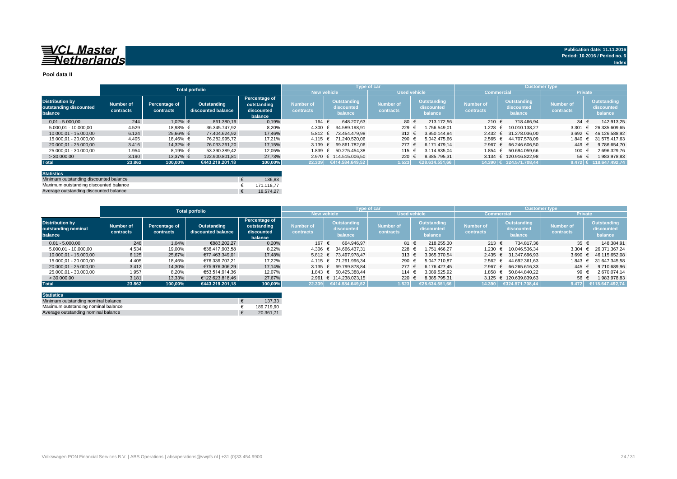## 

#### **Pool data II**

|                                                             |                        |                            | <b>Total porfolio</b>             |                                                       |                               |                                      | <b>Type of car</b>            |                                      | <b>Customer type</b>   |                                             |                                      |                                             |  |  |
|-------------------------------------------------------------|------------------------|----------------------------|-----------------------------------|-------------------------------------------------------|-------------------------------|--------------------------------------|-------------------------------|--------------------------------------|------------------------|---------------------------------------------|--------------------------------------|---------------------------------------------|--|--|
|                                                             |                        |                            |                                   |                                                       | <b>New vehicle</b>            |                                      | <b>Used vehicle</b>           |                                      | <b>Commercial</b>      |                                             |                                      | <b>Private</b>                              |  |  |
| <b>Distribution by</b><br>outstanding discounted<br>balance | Number of<br>contracts | Percentage of<br>contracts | Outstanding<br>discounted balance | Percentage of<br>outstanding<br>discounted<br>balance | <b>Number of</b><br>contracts | Outstanding<br>discounted<br>balance | <b>Number of</b><br>contracts | Outstanding<br>discounted<br>balance | Number of<br>contracts | <b>Outstanding</b><br>discounted<br>balance | <b>Number of</b><br><b>contracts</b> | <b>Outstanding</b><br>discounted<br>balance |  |  |
| $0.01 - 5.000.00$                                           | 244                    | $1,02%$ €                  | 861.380.19                        | 0,19%                                                 | 164 €                         | 648.207.63                           | 80 €                          | 213.172.56                           | 210 €                  | 718.466.94                                  | $34 \in$                             | 142.913,25                                  |  |  |
| 5.000.01 - 10.000.00                                        | 4.529                  | 18,98% €                   | 36.345.747.92                     | 8,20%                                                 | $4.300 \in$                   | 34.589.198.91                        | 229                           | 1.756.549.01                         | 1.228                  | 10.010.138.27                               | 3.301                                | 26.335.609.65                               |  |  |
| 10.000.01 - 15.000.00                                       | 6.124                  | 25.66% €                   | 77.404.624.92                     | 17,46%                                                | $5.812 \text{ } \in$          | 73.454.479.98                        | 312                           | 3.950.144.94                         |                        | 2.432 € 31.278.036.00                       | 3.692                                | 46.126.588.92                               |  |  |
| 15.000.01 - 20.000.00                                       | 4.405                  | 18.46% €                   | 76.282.995.72                     | 17,21%                                                | $4.115 \text{ }€$             | 71.240.520.06                        | 290 €                         | 5.042.475.66                         | $2.565 \in$            | 44.707.578.09                               | 1.840                                | 31.575.417.63                               |  |  |
| 20.000.01 - 25.000.00                                       | 3.416                  | 14.32% €                   | 76.033.261.20                     | 17,15%                                                |                               | 3.139 € 69.861.782.06                | 277 $\epsilon$                | 6.171.479.14                         | $2.967 \in$            | 66.246.606.50                               | 449 €                                | 9.786.654.70                                |  |  |
| 25.000.01 - 30.000.00                                       | 1.954                  | 8,19% €                    | 53.390.389.42                     | 12,05%                                                | 1.839 $∈$                     | 50.275.454.38                        | 115                           | 3.114.935.04                         | 1.854                  | 50.694.059.66                               | 100 €                                | 2.696.329.76                                |  |  |
| > 30,000,00                                                 | 3.190                  | 13,37% €                   | 122.900.801.81                    | 27,73%                                                |                               | 2.970 € 114.515.006.50               | 220                           | 8.385.795.31                         |                        | 3.134 € 120.916.822.98                      | 56 €                                 | 1.983.978,83                                |  |  |
| <b>Total</b>                                                | 23.862                 | 100,00%                    | €443.219.201.18                   | 100,00%                                               |                               | 22.339 €414.584.649,52               | 1.523                         | €28.634.551.66                       |                        | 14.390 € 324.571.708,44                     |                                      | $9.472$ € 118.647.492.74                    |  |  |
|                                                             |                        |                            |                                   |                                                       |                               |                                      |                               |                                      |                        |                                             |                                      |                                             |  |  |

| <b>Statistics</b>                      |            |
|----------------------------------------|------------|
| Minimum outstanding discounted balance | 136.83     |
| Maximum outstanding discounted balance | 171.118.77 |
| Average outstanding discounted balance | 18.574.27  |

|                                                          |                               |                            | <b>Total porfolio</b>             |                                                       |                        | <b>Type of car</b>                   |                               |                                      | Customer type,                |                                      |                               |                                      |  |
|----------------------------------------------------------|-------------------------------|----------------------------|-----------------------------------|-------------------------------------------------------|------------------------|--------------------------------------|-------------------------------|--------------------------------------|-------------------------------|--------------------------------------|-------------------------------|--------------------------------------|--|
|                                                          |                               |                            |                                   |                                                       |                        | <b>New vehicle</b>                   |                               | <b>Used vehicle</b>                  | <b>Commercial</b>             |                                      | <b>Private</b>                |                                      |  |
| <b>Distribution by</b><br>outstanding nominal<br>balance | <b>Number of</b><br>contracts | Percentage of<br>contracts | Outstanding<br>discounted balance | Percentage of<br>outstanding<br>discounted<br>balance | Number of<br>contracts | Outstanding<br>discounted<br>balance | <b>Number of</b><br>contracts | Outstanding<br>discounted<br>balance | <b>Number of</b><br>contracts | Outstanding<br>discounted<br>balance | <b>Number of</b><br>contracts | Outstanding<br>discounted<br>balance |  |
| $0.01 - 5.000.00$                                        | 248                           | 1.04%                      | €883.202.27                       | 0,20%                                                 | 167 €                  | 664.946.97                           | 81 €                          | 218.255.30                           | 213 $\epsilon$                | 734.817.36                           | $35 \epsilon$                 | 148.384.91                           |  |
| 5.000.01 - 10.000.00                                     | 4.534                         | 19,00%                     | €36.417.903.58                    | 8,22%                                                 | $4.306 \text{ } \in$   | 34.666.437.31                        | 228                           | 1.751.466.27                         | 1.230                         | 10.046.536.34                        | 3.304 $\in$                   | 26.371.367.24                        |  |
| 10.000.01 - 15.000.00                                    | 6.125                         | 25,67%                     | €77.463.349.01                    | 17.48%                                                |                        | 5.812 € 73.497.978.47                | 313 $\epsilon$                | 3.965.370.54                         |                               | 2.435 € 31.347.696,93                | 3.690                         | 46.115.652,08                        |  |
| 15.000.01 - 20.000.00                                    | 4.405                         | 18.46%                     | €76.339.707.21                    | 17.22%                                                | $4.115 \text{ }€$      | 71.291.996.34                        | 290                           | 5.047.710.87                         | $2.562 \in$                   | 44.692.361.63                        | 1.843 €                       | 31.647.345.58                        |  |
| 20.000.01 - 25.000.00                                    | 3.412                         | 14.30%                     | €75.976.306.29                    | 17.14%                                                |                        | 3.135 € 69.799.878.84                | $277$ €                       | 6.176.427.45                         |                               | 2.967 € 66.265.616.33                | 445                           | 9.710.689.96                         |  |
| 25.000.01 - 30.000.00                                    | 1.957                         | 8,20%                      | €53.514.914.36                    | 12,07%                                                | 1.843 €                | 50.425.388.44                        | 114 $\leftrightarrow$         | 3.089.525.92                         |                               | 1.858 € 50.844.840.22                | 99 +                          | 2.670.074.14                         |  |
| >30.000,00                                               | 3.181                         | 13,33%                     | €122.623.818.46                   | 27.67%                                                |                        | 2.961 € 114.238.023.15               | 220                           | 8.385.795.31                         |                               | 3.125 € 120.639.839,63               | 56 €                          | 1.983.978,83                         |  |
| <b>Total</b>                                             | 23.862                        | 100.00%                    | €443.219.201.18                   | 100.00%                                               | 22.339                 | €414.584.649,52                      | .523                          | €28.634.551.66                       | 14.390                        | €324.571.708,44                      | 9.472                         | €118.647.492.74                      |  |

| <b>Statistics</b>                   |            |
|-------------------------------------|------------|
| Minimum outstanding nominal balance | 137.33     |
| Maximum outstanding nominal balance | 189.719.90 |
| Average outstanding nominal balance | 20.361.71  |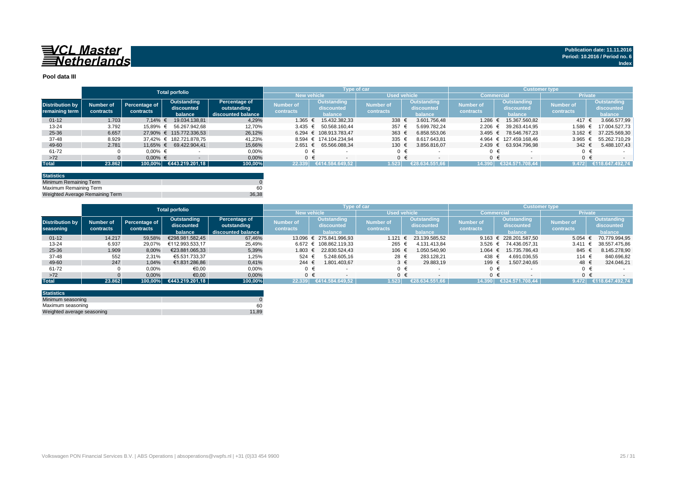

#### **Pool data III**

|                        |           |               | <b>Total porfolio</b>   |                    |                    |         |                        | Type of car         |  |                    | <b>Customer type</b> |         |                        |                  |                |                    |
|------------------------|-----------|---------------|-------------------------|--------------------|--------------------|---------|------------------------|---------------------|--|--------------------|----------------------|---------|------------------------|------------------|----------------|--------------------|
|                        |           |               |                         |                    | <b>New vehicle</b> |         |                        | <b>Used vehicle</b> |  |                    | <b>Commercial</b>    |         |                        |                  | <b>Private</b> |                    |
| <b>Distribution by</b> | Number of | Percentage of | Outstanding             | Percentage of      | <b>Number of</b>   |         | <b>Outstanding</b>     | <b>Number of</b>    |  | <b>Outstanding</b> | <b>Number of</b>     |         | Outstanding            | <b>Number of</b> |                | <b>Outstanding</b> |
| remaining term         | contracts | contracts     | discounted              | outstanding        | contracts          |         | discounted             | contracts           |  | discounted         | contracts            |         | discounted             | contracts        |                | discounted         |
|                        |           |               | balance                 | discounted balance |                    |         | balance                |                     |  | balance            |                      |         | balance                |                  |                | balance            |
| $01 - 12$              | 1.703     | $7.14\%$ €    | 19.034.138.81           | 4,29%              | 1.365              |         | 15.432.382.33          | 338 €               |  | 3.601.756.48       | 1.286 €              |         | 15.367.560.82          | 417 €            |                | 3.666.577,99       |
| $13 - 24$              | 3.792     | 15.89% €      | 56.267.942.68           | 12,70%             | 3.435              |         | 50.568.160.44          | 357                 |  | 5.699.782.24       |                      |         | 2.206 € 39.263.414,95  | 1.586 €          |                | 17.004.527.73      |
| 25-36                  | 6.657     |               | 27.90% € 115.772.336.53 | 26,12%             |                    |         | 6.294 € 108.913.783,47 | $363 \in$           |  | 6.858.553.06       |                      |         | 3.495 € 78.546.767,23  | 3.162 $\in$      |                | 37.225.569.30      |
| 37-48                  | 8.929     |               | 37.42% € 182.721.878.75 | 41,23%             |                    |         | 8.594 € 174.104.234.94 | 335                 |  | 8.617.643.81       |                      |         | 4.964 € 127.459.168.46 | $3.965 \in$      |                | 55.262.710.29      |
| 49-60                  | 2.781     | 11.65% €      | 69.422.904.41           | 15,66%             | $2.651 \in$        |         | 65.566.088,34          | 130 €               |  | 3.856.816.07       | $2.439$ €            |         | 63.934.796,98          | 342 $\in$        |                | 5.488.107,43       |
| 61-72                  |           | $0.00\%$ €    |                         | 0,00%              |                    |         |                        | 0 <sub>0</sub>      |  |                    |                      | 0 €     |                        |                  |                |                    |
| $>72$                  |           | $0.00\%$ €    |                         | 0,00%              |                    | $0 \in$ |                        | $0 \in$             |  |                    |                      | $0 \in$ |                        |                  |                |                    |
| <b>Total</b>           | 23.862    |               | 100,00% €443.219.201,18 | 100,00%            | 22.339             |         | €414.584.649.52        | 1.523               |  | €28.634.551.66     | 14.390               |         | €324.571.708.44        | 9.472            |                | €118.647.492.74    |

| <b>Statistics</b>               |       |
|---------------------------------|-------|
| Minimum Remaining Term          |       |
| Maximum Remaining Term          | 60    |
| Weighted Average Remaining Term | 36.38 |

|                        |           |               | <b>Total porfolio</b> |                    |                |                         | Type of car      |                | <b>Customer type</b> |                            |                |                 |  |
|------------------------|-----------|---------------|-----------------------|--------------------|----------------|-------------------------|------------------|----------------|----------------------|----------------------------|----------------|-----------------|--|
|                        |           |               |                       |                    |                | <b>New vehicle</b>      | Used vehicle     |                |                      | Commercial                 | <b>Private</b> |                 |  |
|                        |           |               | Outstanding           | Percentage of      | Number of      | <b>Outstanding</b>      |                  | Outstanding    | <b>Number of</b>     | Outstanding                |                | Outstanding     |  |
| <b>Distribution by</b> | Number of | Percentage of | discounted            | outstanding        |                | discounted              | <b>Number of</b> | discounted     | discounted           | Number of                  | discounted     |                 |  |
| seasoning              | contracts | contracts     | balance               | discounted balance | contracts      | balance                 | contracts        | balance        | contracts            | balance                    | contracts      | balance         |  |
| $01 - 12$              | 14.217    | 59,58%        | €298.981.582,45       | 67,46%             |                | 13.096 € 275.841.996.93 | 1.121            | 23.139.585,52  |                      | 9.163 $\in$ 228.201.587.50 | 5.054          | 70.779.994,95   |  |
| $13 - 24$              | 6.937     | 29,07%        | €112.993.533.17       | 25,49%             |                | 6.672 € 108.862.119.33  | 265              | 4.131.413.84   | 3.526 $\in$          | 74.436.057.31              | 3.411          | 38.557.475.86   |  |
| 25-36                  | 1.909     | 8,00%         | €23.881.065.33        | 5,39%              |                | 1.803 € 22.830.524.43   | 106 €            | 1.050.540.90   | 1.064 €              | 15.735.786.43              | 845 €          | 8.145.278.90    |  |
| 37-48                  | 552       | 2,31%         | €5.531.733.37         | 1,25%              | 524 €          | 5.248.605.16            | 28 €             | 283.128.21     | 438                  | 4.691.036.55               | 114 €          | 840.696,82      |  |
| 49-60                  | 247       | 1,04%         | €1.831.286,86         | 0,41%              | $244 \epsilon$ | 1.801.403,67            | $3 \in$          | 29.883,19      | 199 €                | 1.507.240,65               | 48 $\in$       | 324.046.21      |  |
| 61-72                  |           | 0,00%         | €0,00                 | 0,00%              |                | €                       | $0 \in$          |                | 0 €                  |                            |                |                 |  |
| $>72$                  |           | 0,00%         | €0,00                 | 0,00%              |                | $0 \in$                 | $0 \in$          |                | ∩ €                  |                            |                |                 |  |
| <b>Total</b>           | 23.862    | 100.00%       | 6443.219.201.18       | 100,00%            | 22.339         | €414.584.649.52         | 1.523            | €28.634.551.66 | 14.390               | €324.571.708.44            | 9.472          | €118.647.492.74 |  |

| <b>Statistics</b>          |       |
|----------------------------|-------|
| Minimum seasoning          |       |
| Maximum seasoning          | 60    |
| Weighted average seasoning | 11.89 |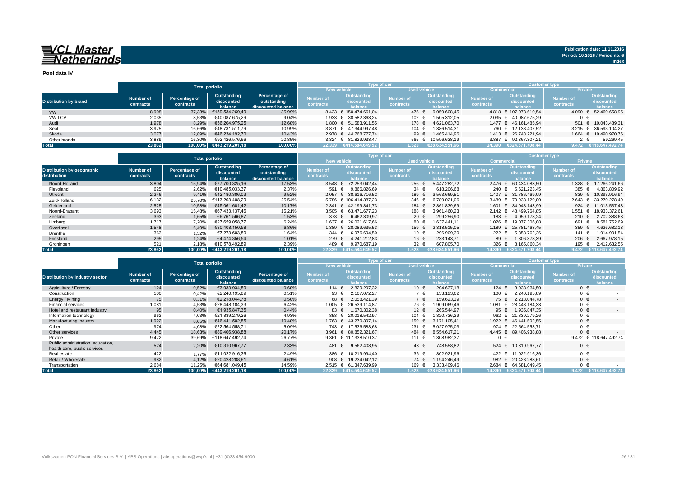## 

**Pool data IV**

|                              |           |               | <b>Total porfolio</b>   |                    |                                           | Type of car            |                  |                | <b>Customer type</b> |                        |                  |                       |  |  |
|------------------------------|-----------|---------------|-------------------------|--------------------|-------------------------------------------|------------------------|------------------|----------------|----------------------|------------------------|------------------|-----------------------|--|--|
|                              |           |               |                         |                    | <b>New vehicle</b><br><b>Used vehicle</b> |                        |                  |                | Commercial           |                        | <b>Private</b>   |                       |  |  |
|                              | Number of | Percentage of | Outstanding             | Percentage of      | Number of                                 | Outstanding            | <b>Number of</b> | Outstanding    | <b>Number of</b>     | Outstanding            | <b>Number of</b> | Outstanding           |  |  |
| <b>Distribution by brand</b> |           |               | discounted              | outstanding        |                                           | discounted             |                  | discounted     |                      | discounted             |                  | discounted            |  |  |
|                              | contracts | contracts     | balance                 | discounted balance | <b>contracts</b>                          | halance                | contracts        | balance        | contracts            | balance                | contracts        | balance               |  |  |
| <b>VW</b>                    | 8.908     | 37.33%        | €159.534.269.49         | 35,99%             |                                           | 8.433 € 150.474.661.04 | 475 €            | 9.059.608.45   |                      | 4.818 € 107.073.610.54 | 4.090            | 52.460.658.95         |  |  |
| <b>VW LCV</b>                | 2.035     | 8,53%         | €40.087.675.29          | 9,04%              |                                           | 1.933 € 38.582.363.24  | 102 €            | 1.505.312.05   |                      | 2.035 € 40.087.675,29  |                  |                       |  |  |
| Audi                         | 1.978     | 8.29%         | €56.204.975.25          | 12,68%             |                                           | 1.800 € 51.583.911.55  | 178 €            | 4.621.063.70   |                      | 1.477 € 46.161.485.94  | 501 $\in$        | 10.043.489.31         |  |  |
| Seat                         | 3.975     | 16,66%        | €48.731.511.79          | 10.99%             |                                           | 3.871 € 47.344.997.48  | 104 €            | .386.514.31    |                      | 760 € 12.138.407.52    | 3.215            | € 36.593.104.27       |  |  |
| Skoda                        | 3.077     | 12,89%        | €46.234.192.70          | 10.43%             |                                           | 2.978 € 44.768.777.74  | 99 $\epsilon$    | 1.465.414.96   |                      | 1.413 € 26.743.221.94  | 1.664            | € 19.490.970.76       |  |  |
| Other brands                 | 3.889     | 16.30%        | €92.426.576.66          | 20.85%             |                                           | 3.324 € 81.829.938.47  | 565 €            | 10.596.638.19  |                      | 3.887 € 92.367.307.21  |                  | 59.269.45             |  |  |
| <b>Total</b>                 | 23.862    |               | 100.00% €443.219.201.18 | 100,00%            |                                           | 22.339 €414.584.649.52 | 1.523            | €28.634.551.66 |                      | 14.390 €324.571.708.44 |                  | 9.472 €118.647.492.74 |  |  |

|                                                   | <b>Total porfolio</b>  |                            |                                      |                                                    |                               | <b>Type of car</b>                          |                               |                                                    | <b>Customer type</b>          |                                      |                               |                                             |  |  |
|---------------------------------------------------|------------------------|----------------------------|--------------------------------------|----------------------------------------------------|-------------------------------|---------------------------------------------|-------------------------------|----------------------------------------------------|-------------------------------|--------------------------------------|-------------------------------|---------------------------------------------|--|--|
|                                                   |                        |                            |                                      |                                                    |                               | <b>New vehicle</b>                          | <b>Used vehicle</b>           |                                                    |                               | Commercia                            | <b>Private</b>                |                                             |  |  |
| <b>Distribution by geographic</b><br>distribution | Number of<br>contracts | Percentage of<br>contracts | Outstanding<br>discounted<br>balance | Percentage of<br>outstanding<br>discounted balance | <b>Number of</b><br>contracts | <b>Outstanding</b><br>discounted<br>balance | <b>Number of</b><br>contracts | <b>Outstanding</b><br>discounted<br><b>balance</b> | <b>Number of</b><br>contracts | Outstanding<br>discounted<br>balance | <b>Number of</b><br>contracts | <b>Outstanding</b><br>discounted<br>balance |  |  |
| Noord-Holland                                     | 3.804                  | 15,94%                     | €77.700.325.16                       | 17,53%                                             | 3.548 $\in$                   | 72.253.042.44                               | 256                           | 5.447.282.72                                       | $2.476 \in$                   | 60.434.083.50                        | 1.328                         | 17.266.241,66                               |  |  |
| Flevoland                                         | 625                    | 2,62%                      | €10.485.033.37                       | 2,37%                                              | 591                           | 9.866.826,69<br>$\epsilon$                  | 34 $\epsilon$                 | 618.206,68                                         | 240 €                         | 5.621.223,45                         | 385                           | 4.863.809,92                                |  |  |
| Utrecht                                           | 2.246                  | 9,41%                      | €42.180.386.03                       | 9,52%                                              |                               | 2.057 € 38.616.716.52                       | 189 €                         | 3.563.669.51                                       |                               | 1.407 € 31.786.469.09                | 839 €                         | 10.393.916.94                               |  |  |
| Zuid-Holland                                      | 6.132                  | 25.70%                     | €113.203.408.29                      | 25,54%                                             |                               | 5.786 € 106.414.387.23                      | 346                           | 6.789.021.06                                       |                               | 3.489 € 79.933.129.80                | 2.643                         | 33.270.278.49                               |  |  |
| Gelderland                                        | 2.525                  | 10.58%                     | €45.061.681.42                       | 10,17%                                             |                               | 2.341 € 42.199.841.73                       | 184 €                         | 2.861.839.69                                       |                               | 1.601 € 34.048.143.99                | 924 $\epsilon$                | 11.013.537.43                               |  |  |
| Noord-Brabant                                     | 3.693                  | 15,48%                     | €67.433.137.46                       | 15,21%                                             |                               | 3.505 € 63.471.677.23                       | 188 €                         | 3.961.460.23                                       | $2.142 \in$                   | 48.499.764.85                        | 1.551                         | 18.933.372,61                               |  |  |
| Zeeland                                           | 393                    | 1,65%                      | €6.761.566.87                        | 1,53%                                              | 373 $\epsilon$                | 6.462.309.97                                | 20 €                          | 299.256.90                                         | 183 €                         | 4.059.178.24                         | 210 €                         | 2.702.388,63                                |  |  |
| Limburg                                           | 1.717                  | 7,20%                      | €27.659.058.77                       | 6,24%                                              | 1.637 €                       | 26.021.617.66                               | 80 €                          | 1.637.441.11                                       | 1.026 €                       | 19.077.306.08                        | 691                           | 8.581.752,69                                |  |  |
| Overijssel                                        | 1.548                  | 6,49%                      | €30.408.150.58                       | 6,86%                                              |                               | 1.389 € 28.089.635.53                       | 159 €                         | 2.318.515.05                                       | 1.189 $∈$                     | 25.781.468.45                        | 359 $\epsilon$                | 4.626.682,13                                |  |  |
| Drenthe                                           | 363                    | 1,52%                      | €7.273.603.80                        | 1,64%                                              | 344                           | 6.976.694.50                                | 19 €                          | 296.909,30                                         | 222 €                         | 5.358.702.26                         | 141 €                         | 1.914.901,54                                |  |  |
| Friesland                                         | 295                    | 1.24%                      | €4.474.356.54                        | 1,01%                                              | 279 $\epsilon$                | 4.241.212,83                                | 16 €                          | 233.143.71                                         | 89 €                          | 1.806.378.39                         | 206 $\epsilon$                | 2.667.978,15                                |  |  |
| Groningen                                         | 521                    | 2,18%                      | €10.578.492.89                       | 2,39%                                              | 489                           | 9.970.687,19                                | 32 $\epsilon$                 | 607.805,70                                         | 326                           | 8.165.860,34                         | 195                           | 2.412.632,55<br>€                           |  |  |
| <b>Total</b>                                      | 23.862                 | $100.00\%$                 | €443.219.201.18                      | 100,00%                                            |                               | 22.339 €414.584.649.52                      | 1.523                         | €28.634.551.66                                     | 14.390                        | €324.571.708.44                      |                               | 9.472 €118.647.492.74                       |  |  |

|                                                                   | <b>Total porfolio</b>         |                            |                                      |                                     |                               |                                             | Type of car            |                                      | <b>Customer type</b>          |                                             |                        |                                             |  |  |
|-------------------------------------------------------------------|-------------------------------|----------------------------|--------------------------------------|-------------------------------------|-------------------------------|---------------------------------------------|------------------------|--------------------------------------|-------------------------------|---------------------------------------------|------------------------|---------------------------------------------|--|--|
|                                                                   |                               |                            |                                      |                                     | <b>New vehicle</b>            |                                             | <b>Used vehicle</b>    |                                      | Commercia                     |                                             | <b>Private</b>         |                                             |  |  |
| <b>Distribution by industry sector</b>                            | <b>Number of</b><br>contracts | Percentage of<br>contracts | Outstanding<br>discounted<br>balance | Percentage of<br>discounted balance | <b>Number of</b><br>contracts | <b>Outstanding</b><br>discounted<br>balance | Number of<br>contracts | Outstanding<br>discounted<br>balance | <b>Number of</b><br>contracts | <b>Outstanding</b><br>discounted<br>balance | Number of<br>contracts | <b>Outstanding</b><br>discounted<br>balance |  |  |
| Agriculture / Forestry                                            | 124                           | 0,52%                      | €3.033.934.50                        | 0,68%                               | 114 €                         | 2.829.297.32                                | 10 €                   | 204.637.18                           | 124 $\in$                     | 3.033.934.50                                | $0 \in$                | $\sim$                                      |  |  |
| Construction                                                      | 100                           | 0,42%                      | €2.240.195,89                        | 0,51%                               | 93                            | 2.107.072.27                                | $7 \in$                | 133.123,62                           | 100 €                         | 2.240.195.89                                | $0 \in$                |                                             |  |  |
| Energy / Mining                                                   | 75                            | 0,31%                      | €2.218.044.78                        | 0,50%                               | 68 €                          | 2.058.421.39                                | 7 €                    | 159.623.39                           | 75 €                          | 2.218.044.78                                | $0 \in$                | $\sim$                                      |  |  |
| <b>Financial services</b>                                         | 1.081                         | 4,53%                      | €28.448.184.33                       | 6,42%                               | 1.005                         | 26.539.114.87<br>€                          | 76 €                   | .909.069.46                          | 1.081 €                       | 28.448.184.33                               | $0 \in$                |                                             |  |  |
| Hotel and restaurant industry                                     | 95                            | 0,40%                      | €1.935.847,35                        | 0,44%                               | 83 €                          | 1.670.302.38                                | 12 $\in$               | 265.544.97                           | 95 €                          | 1.935.847.35                                | $0 \in$                | $\sim$                                      |  |  |
| Information technology                                            | 962                           | 4,03%                      | €21.839.279,26                       | 4,93%                               | 858                           | 20.018.542.97<br>€                          | 104 €                  | .820.736.29                          | 962 €                         | 21.839.279.26                               | $0 \in$                |                                             |  |  |
| Manufacturing industry                                            | 1.922                         | 8,05%                      | €46.441.502,55                       | 10,48%                              |                               | 1.763 € 43.270.397,14                       | 159 €                  | 3.171.105,41                         | 1.922 €                       | 46.441.502.55                               | $0 \in$                | $\sim$                                      |  |  |
| Other                                                             | 974                           | 4,08%                      | €22.564.558.71                       | 5,09%                               |                               | 743 € 17.536.583.68                         | 231                    | 5.027.975.03                         | 974 €                         | 22.564.558.71                               | $0 \in$                |                                             |  |  |
| Other services                                                    | 4.445                         | 18,63%                     | €89.406.938.88                       | 20.17%                              |                               | 3.961 € 80.852.321.67                       | 484 €                  | 8.554.617.21                         | $4.445 \in$                   | 89.406.938.88                               | $0 \in$                | $\sim$                                      |  |  |
| Private                                                           | 9.472                         | 39,69%                     | €118.647.492.74                      | 26,77%                              |                               | 9.361 € 117.338.510.37                      | 111 €                  | .308.982.37                          | 0 €                           |                                             |                        | 9.472 € 118.647.492.74                      |  |  |
| Public administration, education,<br>health care, public services | 524                           | 2,20%                      | €10.310.967,77                       | 2,33%                               | 481                           | 9.562.408,95<br>€                           | 43 €                   | 748.558,82                           | $524 \epsilon$                | 10.310.967.77                               | $0 \in$                |                                             |  |  |
| Real estate                                                       | 422                           | 1.77%                      | €11.022.916.36                       | 2,49%                               | 386                           | 10.219.994.40<br>€                          | $36 \epsilon$          | 802.921.96                           | 422 €                         | 11.022.916.36                               | $0 \in$                |                                             |  |  |
| Retail / Wholesale                                                | 982                           | 4,12%                      | €20.428.288.61                       | 4,61%                               | 908                           | € 19.234.042.12                             | 74 €                   | .194.246.49                          | 982 €                         | 20.428.288.61                               | $0 \in$                | $\sim$                                      |  |  |
| Transportation                                                    | 2.684                         | 11,25%                     | €64.681.049,45                       | 14,59%                              |                               | 2.515 € 61.347.639.99                       | 169                    | 3.333.409.46                         |                               | 2.684 € 64.681.049.45                       | $0 \in$                |                                             |  |  |
| <b>Total</b>                                                      | 23.862                        | 100,00%                    | €443.219.201.18                      | 100,00%                             |                               | 22.339 €414.584.649.52                      | 1.523                  | €28.634.551.66                       |                               | 14.390 €324.571.708.44                      |                        | 9.472 €118.647.492.74                       |  |  |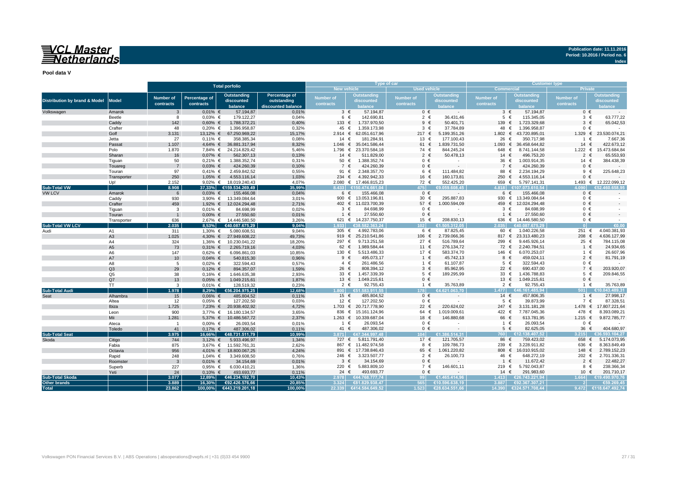## VCL Master<br>Netherlands

**Publication date: 11.11.2016 Period: 10.2016 / Period no. 6**

**Index**

**Pool data V**

| <b>Total porfolio</b>                    |                      |                      |                        | Type of car<br><b>Customer type</b>   |                                   |                   |                                           |                     |                           |                   |                                          |                      |                              |
|------------------------------------------|----------------------|----------------------|------------------------|---------------------------------------|-----------------------------------|-------------------|-------------------------------------------|---------------------|---------------------------|-------------------|------------------------------------------|----------------------|------------------------------|
|                                          |                      |                      |                        |                                       |                                   | New vehicle       |                                           | <b>Used vehicle</b> |                           | <b>Commercial</b> |                                          | <b>Private</b>       |                              |
|                                          |                      | Number of            | Percentage of          | Outstanding                           | Percentage of                     | <b>Number of</b>  | <b>Outstanding</b>                        | <b>Number of</b>    | <b>Outstanding</b>        | <b>Number of</b>  | <b>Outstanding</b>                       | Number of            | Outstanding                  |
| <b>Distribution by brand &amp; Model</b> | <b>Model</b>         | contracts            | contracts              | discounted<br>balance                 | outstanding<br>discounted balance | contracts         | discounted<br>balance                     | contracts           | discounted<br>balance     | contracts         | discounted<br>balance                    | contracts            | discounted<br>balance        |
| Volkswagen                               | Amarok               | $\mathbf{3}$         | $0,01\%$ €             | 57.194,87                             | 0,01%                             | $3 \in$           | 57.194,87                                 | $0 \in$             | $\sim$                    | $3 \in$           | 57.194,87                                | $0 \in$              |                              |
|                                          | Beetle               | 8                    | $0,03%$ €              | 179.122,27                            | 0,04%                             | 6                 | 142.690.81<br>€                           | $2 \in$             | 36.431,46                 | $5 \in$           | 115.345,05                               | $3 \in$              | 63.777.22                    |
|                                          | Caddy                | 142                  | $0,60%$ €              | 1.788.372,21                          | 0,40%                             | 133 €             | 1.737.970.50                              | 9 €                 | 50.401,71                 | 139               | 1.723.329,68<br>€                        | $3 \in$              | 65.042,53                    |
|                                          | Crafter              | 48                   | $0,20%$ €              | 1.396.958,87                          | 0,32%                             | 45 €              | 1.359.173,98                              | $3 \in$             | 37.784,89                 | 48                | €<br>1.396.958,87                        | $0 \in$              |                              |
|                                          | Golf                 | 3.131                | 13,12% €               | 67.250.969,22                         | 15,17%                            | 2.914 ∈           | 62.051.617,96                             | 217 $\in$           | 5.199.351,26              | 1.802 $∈$         | 43.720.895,01                            | $1.329$ €            | 23.530.074,21                |
|                                          | Jetta                | 27                   | $0,11%$ €              | 358.385,34                            | 0,08%                             | 14 €              | 181.284,91                                | 13 €                | 177.100,43                | 26 €              | 350.717,98                               | 1 €                  | 7.667,36                     |
|                                          | Passat               | 1.107                |                        | 4,64% € 36.881.317,94                 | 8,32%                             | 1.046 $€$         | 35.041.586,44                             | 61 €                | 1.839.731,50              | 1.093 $∈$         | 36.458.644,82                            | 14 $\in$             | 422.673,12                   |
|                                          | Polo<br>Sharan       | 1.870<br>16          | 7,84% €<br>$0,07%$ €   | 24.214.829,42<br>562.307,13           | 5,46%<br>0,13%                    | 1.796 €<br>14 €   | 23.370.584,18<br>511.829,00               | 74 €<br>$2 \in$     | 844.245,24<br>50.478,13   | 648<br>14 $\in$   | 8.741.144,58<br>€<br>496.753,20          | 1.222 €<br>$2 \in$   | 15.473.684,84<br>65.553,93   |
|                                          | Tiguan               | 50                   | $0,21%$ €              | 1.388.352,74                          | 0,31%                             | 50 $\epsilon$     | 1.388.352,74                              | $0 \in$             | $\sim$                    | 36 €              | 1.003.914,35                             | 14 €                 | 384.438,39                   |
|                                          | Touareg              | $\overline{7}$       | $0,03%$ €              | 424.260,39                            | 0,10%                             | 7 €               | 424.260,39                                | $0 \in$             |                           | 7 €               | 424.260,39                               | $0 \in$              |                              |
|                                          | Touran               | 97                   | $0,41\%$ €             | 2.459.842,52                          | 0,55%                             | 91 €              | 2.348.357,70                              | 6 €                 | 111.484,82                | 88 €              | 2.234.194,29                             | 9 €                  | 225.648,23                   |
|                                          | Transporter          | 250                  | $1,05%$ €              | 4.553.116,14                          | 1,03%                             | 234 $\epsilon$    | 4.392.942,33                              | 16 €                | 160.173,81                | 250 €             | 4.553.116,14                             | $0 \in$              |                              |
|                                          | Up!                  | 2.152                |                        | 9,02% € 18.019.240,43                 | 4,07%                             |                   | 2.080 € 17.466.815,23                     | 72 €                | 552.425,20                | 659 €             | 5.797.141,31                             |                      | 1.493 € 12.222.099,12        |
| <b>Sub-Total VW</b>                      |                      | 8.908                |                        | 37,33% €159.534.269,49                | 35,99%                            | 8.433             | €150.474.661.04                           | 475                 | €9.059.608.45             | 1.818             | €107.073.610.54                          | 4.090                | $£52$ $A$ $60$ $658$ $95$    |
| <b>VW LCV</b>                            | Amarok               | 6                    | $0,03%$ €              | 155.466,08                            | 0,04%                             | 6 €               | 155.466,08                                | $0 \in$             |                           | 6 €               | 155.466,08                               | $0 \in$              |                              |
|                                          | Caddy                | 930                  |                        | 3,90% € 13.349.084,64                 | 3,01%                             | 900 $\epsilon$    | 13.053.196,81                             | 30 $\epsilon$       | 295.887,83                | 930 $\epsilon$    | 13.349.084,64                            | $0 \in$              |                              |
|                                          | Crafter              | 459                  | 1,92% €                | 12.024.294,48                         | 2,71%                             |                   | 402 € 11.023.700,39                       | 57 €                | 1.000.594,09              | 459               | 12.024.294,48<br>$\epsilon$              | $0 \in$              |                              |
|                                          | Tiguan               | 3                    | $0,01%$ €              | 84.698,99                             | 0,02%                             | $3 \in$           | 84.698,99                                 | $0 \in$             |                           | $3 \in$           | 84.698,99                                | $0 \in$              |                              |
|                                          | Touran               |                      | $0,00%$ €              | 27.550,60                             | 0,01%                             | $\overline{1}$    | €<br>27.550,60                            | $0 \in$             |                           | $\overline{1}$    | $\epsilon$<br>27.550,60                  | $0 \in$              |                              |
|                                          | Transporter          | 636                  |                        | 2,67% € 14.446.580,50                 | 3,26%                             |                   | 621 € 14.237.750,37                       | 15 €                | 208.830,13                |                   | 636 € 14.446.580,50                      | $0 \in$              |                              |
| <b>Sub-Total VW LCV</b>                  |                      | 2.035                | 8,53%                  | €40.087.675,29                        | 9,04%                             | 1.933             | €38.582.363,24                            | 102                 | €1.505.312,05             | 2.035             | €40.087.675,29                           | $\overline{0}$       | €0,00                        |
| Audi                                     | A1<br>A <sub>3</sub> | 311<br>1.025         | 1,30% €                | 5.080.608,51<br>4,30% € 27.949.608,22 | 9,04%<br>49,73%                   |                   | 305 € 4.992.783,06<br>919 € 25.210.541,86 | 6 €<br>106 €        | 87.825,45<br>2.739.066,36 |                   | 60 € 1.040.226,58<br>817 € 23.313.480,23 | 251 €<br>208 $\in$   | 4.040.381,93<br>4.636.127,99 |
|                                          | A4                   | 324                  | 1,36% €                | 10.230.041,22                         | 18,20%                            | 297 €             | 9.713.251,58                              | 27 €                | 516.789,64                | 299 €             | 9.445.926,14                             | 25 €                 | 784.115,08                   |
|                                          | A <sub>5</sub>       | 73                   | $0,31\%$ €             | 2.265.719,16                          | 4,03%                             | 62 €              | 1.989.584,44                              | 11 €                | 276.134,72                | 72 €              | 2.240.784,51                             | $1 \in$              | 24.934,65                    |
|                                          | A6                   | 147                  | $0,62%$ €              | 6.096.861,03                          | 10,85%                            | 130 €             | 5.513.486,33                              | 17 €                | 583.374,70                | 146 €             | 6.070.253,07                             | 1 €                  | 26.607,96                    |
|                                          | A7                   | 10                   | $0,04\%$ €             | 540.815,30                            | 0,96%                             | $9 \in$           | 495.073,17                                | 1 €                 | 45.742,13                 | 8 €               | 459.024,11                               | $2 \in$              | 81.791,19                    |
|                                          | A8                   | -5                   | $0,02%$ €              | 322.594,43                            | 0,57%                             | $4 \in$           | 261.486,56                                | 1 €                 | 61.107,87                 | $5 \in$           | 322.594,43                               | $0 \in$              |                              |
|                                          | Q <sub>3</sub>       | 29                   | $0,12%$ €              | 894.357,07                            | 1,59%                             | 26 €              | 808.394,12                                | $3 \in$             | 85.962,95                 | 22 $\epsilon$     | 690.437,00                               | 7 €                  | 203.920,07                   |
|                                          | Q <sub>5</sub>       | 38                   | $0,16%$ €              | 1.646.635,38                          | 2,93%                             | 33 $\epsilon$     | 1.457.339,39                              | $5 \in$             | 189.295,99                | 33 $\epsilon$     | 1.436.788,83                             | $5 \in$              | 209.846,55                   |
|                                          | Q7                   | 13                   | $0.05%$ €              | 1.049.215,61                          | 1,87%                             | 13 €              | 1.049.215,61                              | $0 \in$             | $\sim$                    | 13 €              | 1.049.215,61                             | $0 \in$              |                              |
|                                          | <b>TT</b>            | 3                    | $0,01\%$ €             | 128.519,32                            | 0,23%                             | $2 \in$           | 92.755,43                                 | $1 \in$             | 35.763,89                 | $2 \in$           | 92.755,43                                | $1 \in$              | 35.763,89                    |
| <b>Sub-Total Audi</b>                    |                      | 1.978                | 8,29%                  | €56.204.975.25                        | 12.68%                            | .800 <sub>1</sub> | €51.583.911.55                            | 178                 | €4.621.063.70             | .477              | €46.161.485.94                           | 501                  | €10.043.489.31               |
| Seat                                     | Alhambra             | 15                   | $0,06%$ €              | 485.804,52                            | 0,11%                             | 15 $\epsilon$     | 485.804,52                                | $0 \in$             |                           | 14 $\in$          | 457.806,35                               | $1 \in$              | 27.998,17                    |
|                                          | Altea                | 12                   | $0,05%$ €              | 127.202,50                            | 0,03%                             | 12 €              | 127.202,50                                | $0 \in$             |                           | $5 \in$           | 39.873,99                                | 7 €                  | 87.328,51                    |
|                                          | Ibiza                | 1.725                |                        | 7,23% € 20.938.402,92                 | 4,72%                             |                   | 1.703 € 20.717.778,90                     | 22 €                | 220.624,02                | 247 $\in$         | 3.131.181,28                             | $1.478$ €            | 17.807.221,64                |
|                                          | Leon<br>Mii          | 900                  |                        | 3,77% € 16.180.134,57                 | 3,65%                             | 836 €             | 15.161.124,96                             | 64 €                | 1.019.009,61              | 422 $\in$         | 7.787.045,36                             | 478                  | 8.393.089,21<br>$\epsilon$   |
|                                          |                      | 1.281                |                        | 5,37% € 10.486.567,72                 | 2,37%                             | $1 \in$           | 1.263 € 10.339.687,04<br>26.093,54        | 18 €<br>$0 \in$     | 146.880,68<br>$\sim$      | 66 €<br>$1 \in$   | 613.781,95<br>26.093,54                  | $1.215$ €<br>$0 \in$ | 9.872.785,77                 |
|                                          | Ateca<br>Toledo      | $\overline{1}$<br>41 | $0,00%$ €<br>$0,17%$ € | 26.093,54<br>487.306,02               | 0.01%<br>0,11%                    | 41 $\in$          | 487.306.02                                | $0 \in$             |                           | $5 \in$           | 82.625.05                                | 36 $\epsilon$        | 404.680.97                   |
| <b>Sub-Total Seat</b>                    |                      | 3.975                | 16.66%                 | €48.731.511,79                        | 10.99%                            | 3.871             | €47.344.997.48                            | 104                 | €1.386.514.31             | 760               | €12.138.407.52                           | 3.215                | €36.593.104.27               |
| Skoda                                    | Citigo               | 744                  | 3,12% $\in$            | 5.933.496,97                          | 1,34%                             | 727 €             | 5.811.791,40                              | 17 €                | 121.705,57                | 86 €              | 759.423,02                               | 658 €                | 5.174.073,95                 |
|                                          | Fabia                | 875                  |                        | 3,67% € 11.592.761,31                 | 2.62%                             |                   | 867 € 11.482.974,58                       | 8 €                 | 109.786,73                | 239               | 3.228.911,82<br>€                        | 636 €                | 8.363.849,49                 |
|                                          | Octavia              | 956                  |                        | 4,01% € 18.800.067,25                 | 4,24%                             |                   | 891 € 17.738.846,43                       | 65 €                | 1.061.220,82              | 808 €             | 16.010.915,02                            | 148 €                | 2.789.152,23                 |
|                                          | Rapid                | 248                  | 1,04% $∈$              | 3.349.608,50                          | 0,76%                             | 246 €             | 3.323.507,77                              | $2 \in$             | 26.100,73                 | 46 €              | 648.272,19                               | 202 ∈                | 2.701.336,31                 |
|                                          | Roomster             | $\mathbf{3}$         | $0,01\%$ €             | 34.154,69                             | 0,01%                             | $3 \in$           | 34.154,69                                 | $0 \in$             |                           | $1 \in$           | 11.672,42                                | $2 \in$              | 22.482,27                    |
|                                          | Superb               | 227                  | $0,95%$ €              | 6.030.410,21                          | 1,36%                             | 220 €             | 5.883.809,10                              | 7 €                 | 146.601,11                | 219 €             | 5.792.043,87                             | 8 €                  | 238.366,34                   |
|                                          | Yeti                 | 24                   | $0,10%$ €              | 493.693,77                            | 0,11%                             | 24 $\in$          | 493.693,77                                | $0 \in$             | $\sim$                    | 14 $\in$          | 291.983,60                               | 10 €                 | 201.710,17                   |
| <b>Sub-Total Skoda</b>                   |                      | 3.077                | 12.89%                 | €46.234.192,70                        | 10.43%                            | 2.978             | €44.768.777,74                            | 99 <sup>1</sup>     | €1.465.414.96             | 1.413             | €26.743.221.94                           | 1.664                | €19.490.970,76               |
| Other brands                             |                      | 3.889                | 16,30%                 | €92.426.576,66                        | 20,85%                            | 3.324             | €81.829.938.47                            | 565                 | €10.596.638.19            | 3.887             | €92.367.307,21                           |                      | €59.269.45                   |
| <b>Total</b>                             |                      | 23.862               |                        | 100,00% €443.219.201,18               | 100,00%                           |                   | 22.339 €414.584.649.52                    |                     | 1.523 €28.634.551.66      | 14.390            | €324.571.708.44                          | 9.472                | €118,647,492.74              |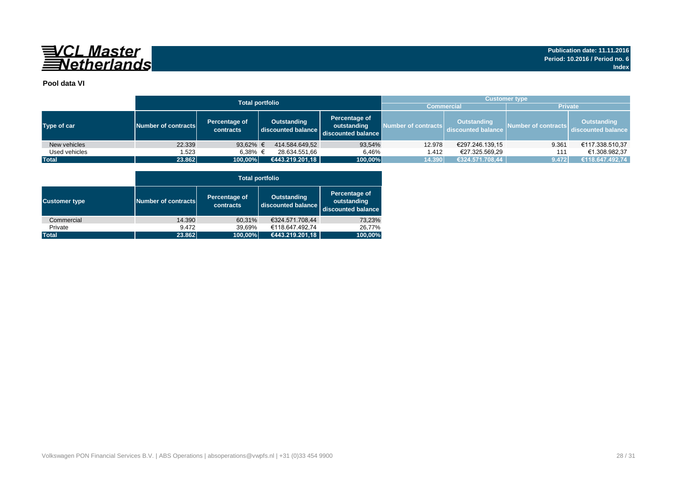

#### **Pool data VI**

|               |                     |                            | <b>Total portfolio</b>            |                                                    | <b>Customer type</b> |                                          |                     |                                          |  |  |  |  |  |
|---------------|---------------------|----------------------------|-----------------------------------|----------------------------------------------------|----------------------|------------------------------------------|---------------------|------------------------------------------|--|--|--|--|--|
|               |                     |                            |                                   |                                                    | <b>Commercial</b>    |                                          | <b>Private</b>      |                                          |  |  |  |  |  |
| Type of car   | Number of contracts | Percentage of<br>contracts | Outstanding<br>discounted balance | Percentage of<br>outstanding<br>discounted balance | Number of contracts  | <b>Outstanding</b><br>discounted balance | Number of contracts | <b>Outstanding</b><br>discounted balance |  |  |  |  |  |
| New vehicles  | 22.339              | 93,62% $\in$               | 414.584.649.52                    | 93,54%                                             | 12.978               | €297.246.139,15                          | 9.361               | €117.338.510,37                          |  |  |  |  |  |
| Used vehicles | 1.523               | 6.38% €                    | 28.634.551.66                     | 6.46%                                              | 1.412                | €27.325.569.29                           | 111                 | €1.308.982.37                            |  |  |  |  |  |
| <b>Total</b>  | 23.862              | 100,00%                    | €443.219.201,18                   | 100,00%                                            | 14.390               | €324.571.708,44                          | 9.472               | €118.647.492,74                          |  |  |  |  |  |

|                      |                     | <b>Total portfolio</b>     |                                          |                                                    |  |  |  |  |  |  |  |
|----------------------|---------------------|----------------------------|------------------------------------------|----------------------------------------------------|--|--|--|--|--|--|--|
| <b>Customer type</b> | Number of contracts | Percentage of<br>contracts | <b>Outstanding</b><br>discounted balance | Percentage of<br>outstanding<br>discounted balance |  |  |  |  |  |  |  |
| Commercial           | 14.390              | 60,31%                     | €324.571.708,44                          | 73,23%                                             |  |  |  |  |  |  |  |
| Private              | 9.472               | 39,69%                     | €118.647.492,74                          | 26,77%                                             |  |  |  |  |  |  |  |
| <b>Total</b>         | 23.862              | 100,00%                    | €443.219.201,18                          | 100,00%                                            |  |  |  |  |  |  |  |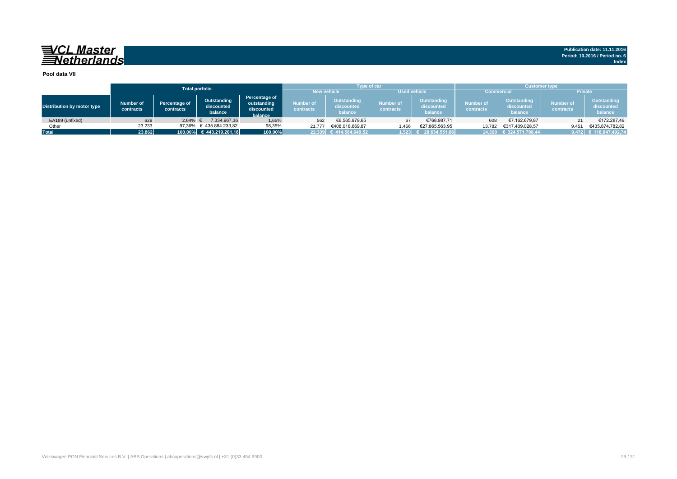## 

**Index**

|                            |                        |                            | <b>Total porfolio</b>                |                                                       |                        | <b>Type of car</b>                   |                                                                |                | <b>Customer type</b>          |                                      |                               |                                      |  |  |
|----------------------------|------------------------|----------------------------|--------------------------------------|-------------------------------------------------------|------------------------|--------------------------------------|----------------------------------------------------------------|----------------|-------------------------------|--------------------------------------|-------------------------------|--------------------------------------|--|--|
|                            |                        |                            |                                      |                                                       | <b>New vehicle</b>     |                                      | <b>Used vehicle</b>                                            |                | Commercial                    |                                      | <b>Private</b>                |                                      |  |  |
| Distribution by motor type | Number of<br>contracts | Percentage of<br>contracts | Outstanding<br>discounted<br>balance | Percentage of<br>outstanding<br>discounted<br>balance | Number of<br>contracts | Outstanding<br>discounted<br>balance | Outstanding<br>Number of<br>discounted<br>contracts<br>balance |                | <b>Number of</b><br>contracts | Outstanding<br>discounted<br>balance | <b>Number of</b><br>contracts | Outstanding<br>discounted<br>balance |  |  |
| EA189 (unfixed)            | 629                    | 2.64%                      | 7.334.967,36                         | 1,65%                                                 | 562                    | €6.565.979.65                        | 67                                                             | €768.987.71    | 608                           | €7.162.679,87                        | 21                            | €172.287,49                          |  |  |
| Other                      | 23.233                 | 97.36%                     | € 435.884.233,82                     | 98,35%                                                | 21.777                 | €408.018.669.87                      | 1.456                                                          | €27.865.563.95 | 13.782                        | €317.409.028.57                      | 9.451                         | €435.874.782.82                      |  |  |
| <b>Total</b>               | 23.862                 |                            | 100.00% € 443.219.201.18             | 100,00%                                               |                        | 22.339 € 414.584.649,52              | $1.523 +$                                                      | 28.634.551,66  |                               | 14.390 € 324.571.708.44              |                               | 9.472 € 118.647.492,74               |  |  |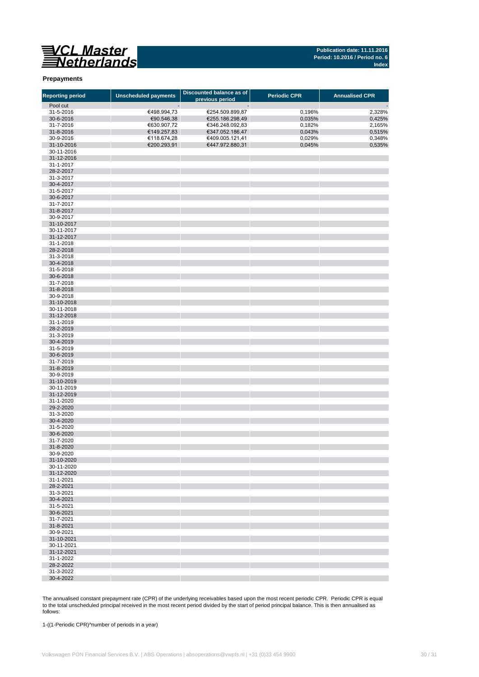

#### **Prepayments**

| <b>Reporting period</b> | <b>Unscheduled payments</b> | Discounted balance as of<br>previous period | <b>Periodic CPR</b> | <b>Annualised CPR</b> |
|-------------------------|-----------------------------|---------------------------------------------|---------------------|-----------------------|
| Pool cut                |                             |                                             |                     |                       |
| 31-5-2016               | €498.994,73                 | €254.509.899,87                             | 0,196%              | 2,328%                |
| 30-6-2016               | €90.546,38                  | €255.186.298,49                             | 0,035%              | 0,425%                |
| 31-7-2016               | €630.907,72                 | €346.248.092,83                             | 0,182%              | 2,165%                |
| 31-8-2016               | €149.257,83                 | €347.052.186,47                             | 0,043%              | 0,515%                |
| 30-9-2016               | €118.674,28                 | €409.005.121,41                             | 0,029%              | 0,348%                |
| 31-10-2016              | €200.293,91                 | €447.972.880,31                             | 0,045%              | 0,535%                |
| 30-11-2016              |                             |                                             |                     |                       |
| 31-12-2016              |                             |                                             |                     |                       |
| 31-1-2017               |                             |                                             |                     |                       |
| 28-2-2017               |                             |                                             |                     |                       |
| 31-3-2017               |                             |                                             |                     |                       |
| 30-4-2017               |                             |                                             |                     |                       |
| 31-5-2017               |                             |                                             |                     |                       |
| 30-6-2017               |                             |                                             |                     |                       |
| 31-7-2017               |                             |                                             |                     |                       |
| 31-8-2017               |                             |                                             |                     |                       |
| 30-9-2017               |                             |                                             |                     |                       |
| 31-10-2017              |                             |                                             |                     |                       |
| 30-11-2017              |                             |                                             |                     |                       |
| 31-12-2017              |                             |                                             |                     |                       |
| 31-1-2018               |                             |                                             |                     |                       |
| 28-2-2018               |                             |                                             |                     |                       |
| 31-3-2018               |                             |                                             |                     |                       |
| 30-4-2018               |                             |                                             |                     |                       |
| 31-5-2018               |                             |                                             |                     |                       |
| 30-6-2018               |                             |                                             |                     |                       |
| 31-7-2018<br>31-8-2018  |                             |                                             |                     |                       |
| 30-9-2018               |                             |                                             |                     |                       |
| 31-10-2018              |                             |                                             |                     |                       |
| 30-11-2018              |                             |                                             |                     |                       |
| 31-12-2018              |                             |                                             |                     |                       |
| 31-1-2019               |                             |                                             |                     |                       |
| 28-2-2019               |                             |                                             |                     |                       |
| 31-3-2019               |                             |                                             |                     |                       |
| 30-4-2019               |                             |                                             |                     |                       |
| 31-5-2019               |                             |                                             |                     |                       |
| 30-6-2019               |                             |                                             |                     |                       |
| 31-7-2019               |                             |                                             |                     |                       |
| 31-8-2019               |                             |                                             |                     |                       |
| 30-9-2019               |                             |                                             |                     |                       |
| 31-10-2019              |                             |                                             |                     |                       |
| 30-11-2019              |                             |                                             |                     |                       |
| 31-12-2019              |                             |                                             |                     |                       |
| 31-1-2020               |                             |                                             |                     |                       |
| 29-2-2020               |                             |                                             |                     |                       |
| 31-3-2020               |                             |                                             |                     |                       |
| 30-4-2020               |                             |                                             |                     |                       |
| 31-5-2020               |                             |                                             |                     |                       |
| 30-6-2020               |                             |                                             |                     |                       |
| 31-7-2020               |                             |                                             |                     |                       |
| 31-8-2020<br>30-9-2020  |                             |                                             |                     |                       |
| 31-10-2020              |                             |                                             |                     |                       |
| 30-11-2020              |                             |                                             |                     |                       |
| 31-12-2020              |                             |                                             |                     |                       |
| 31-1-2021               |                             |                                             |                     |                       |
| 28-2-2021               |                             |                                             |                     |                       |
| 31-3-2021               |                             |                                             |                     |                       |
| 30-4-2021               |                             |                                             |                     |                       |
| 31-5-2021               |                             |                                             |                     |                       |
| 30-6-2021               |                             |                                             |                     |                       |
| 31-7-2021               |                             |                                             |                     |                       |
| 31-8-2021               |                             |                                             |                     |                       |
| 30-9-2021               |                             |                                             |                     |                       |
| 31-10-2021              |                             |                                             |                     |                       |
| 30-11-2021              |                             |                                             |                     |                       |
| 31-12-2021              |                             |                                             |                     |                       |
| 31-1-2022               |                             |                                             |                     |                       |
| 28-2-2022               |                             |                                             |                     |                       |
| 31-3-2022               |                             |                                             |                     |                       |
| 30-4-2022               |                             |                                             |                     |                       |

The annualised constant prepayment rate (CPR) of the underlying receivables based upon the most recent periodic CPR. Periodic CPR is equal to the total unscheduled principal received in the most recent period divided by the start of period principal balance. This is then annualised as follows:

1-((1-Periodic CPR)^number of periods in a year)